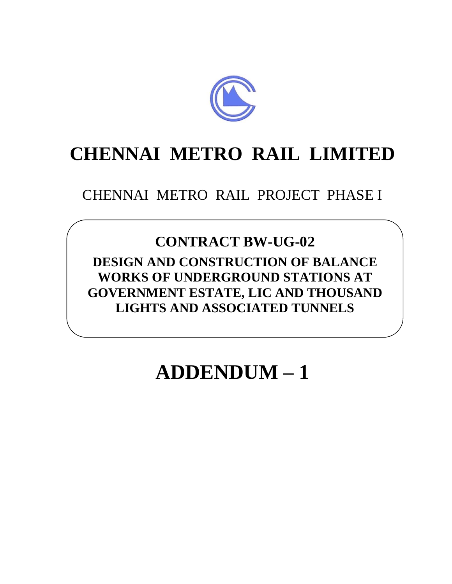

# **CHENNAI METRO RAIL LIMITED**

# CHENNAI METRO RAIL PROJECT PHASE I

# **CONTRACT BW-UG-02**

**DESIGN AND CONSTRUCTION OF BALANCE WORKS OF UNDERGROUND STATIONS AT GOVERNMENT ESTATE, LIC AND THOUSAND LIGHTS AND ASSOCIATED TUNNELS**

# **ADDENDUM – 1**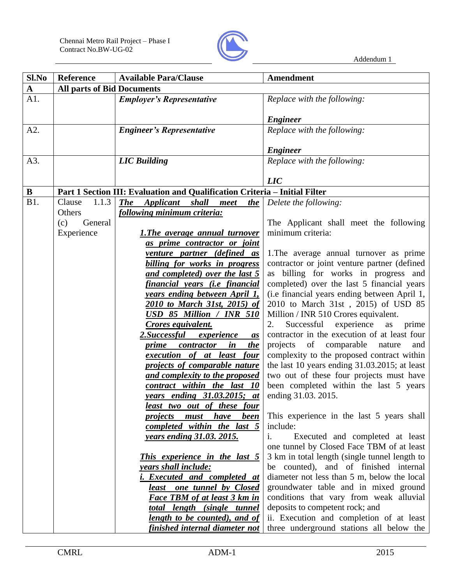

| Sl.No        | <b>Reference</b>                  | <b>Available Para/Clause</b>                                                | Amendment                                                                               |
|--------------|-----------------------------------|-----------------------------------------------------------------------------|-----------------------------------------------------------------------------------------|
| $\mathbf{A}$ | <b>All parts of Bid Documents</b> |                                                                             |                                                                                         |
| A1.          |                                   | <b>Employer's Representative</b>                                            | Replace with the following:                                                             |
|              |                                   |                                                                             |                                                                                         |
|              |                                   |                                                                             | <b>Engineer</b>                                                                         |
| A2.          |                                   | <b>Engineer's Representative</b>                                            | Replace with the following:                                                             |
|              |                                   |                                                                             |                                                                                         |
|              |                                   |                                                                             | <b>Engineer</b>                                                                         |
| A3.          |                                   | <b>LIC</b> Building                                                         | Replace with the following:                                                             |
|              |                                   |                                                                             |                                                                                         |
|              |                                   |                                                                             | $\overline{LIC}$                                                                        |
| $\bf{B}$     |                                   | Part 1 Section III: Evaluation and Qualification Criteria - Initial Filter  |                                                                                         |
| <b>B1.</b>   | 1.1.3<br>Clause                   | <b>The</b><br><i><b>Applicant</b></i><br><i>shall</i><br><u>the</u><br>meet | Delete the following:                                                                   |
|              | Others                            | <u>following minimum criteria:</u>                                          |                                                                                         |
|              | General<br>(c)                    |                                                                             | The Applicant shall meet the following<br>minimum criteria:                             |
|              | Experience                        | <b>1.The average annual turnover</b>                                        |                                                                                         |
|              |                                   | as prime contractor or joint                                                |                                                                                         |
|              |                                   | venture partner (defined as<br>billing for works in progress                | 1. The average annual turnover as prime<br>contractor or joint venture partner (defined |
|              |                                   | and completed) over the last 5                                              | as billing for works in progress and                                                    |
|              |                                   | financial years (i.e financial                                              | completed) over the last 5 financial years                                              |
|              |                                   | years ending between April 1,                                               | (i.e financial years ending between April 1,                                            |
|              |                                   | <u>2010 to March 31st, 2015) of</u>                                         | 2010 to March 31st, 2015) of USD 85                                                     |
|              |                                   | USD 85 Million / INR 510                                                    | Million / INR 510 Crores equivalent.                                                    |
|              |                                   | <b>Crores equivalent.</b>                                                   | Successful<br>experience<br>2.<br>as<br>prime                                           |
|              |                                   | 2.Successful<br>experience<br>as                                            | contractor in the execution of at least four                                            |
|              |                                   | the<br>in<br>contractor<br><u>prime</u>                                     | projects<br>of comparable nature<br>and                                                 |
|              |                                   | <i>execution of at least four</i>                                           | complexity to the proposed contract within                                              |
|              |                                   | projects of comparable nature                                               | the last 10 years ending 31.03.2015; at least                                           |
|              |                                   | and complexity to the proposed                                              | two out of these four projects must have                                                |
|              |                                   | contract within the last 10                                                 | been completed within the last 5 years                                                  |
|              |                                   | years ending 31.03.2015; at                                                 | ending 31.03. 2015.                                                                     |
|              |                                   | <u>least two out of these four</u>                                          |                                                                                         |
|              |                                   | have<br><u>been</u><br>must<br>projects                                     | This experience in the last 5 years shall                                               |
|              |                                   | completed within the last 5                                                 | include:                                                                                |
|              |                                   | <u>years ending 31.03. 2015.</u>                                            | Executed and completed at least<br>1.                                                   |
|              |                                   |                                                                             | one tunnel by Closed Face TBM of at least                                               |
|              |                                   | <b>This experience in the last 5</b>                                        | 3 km in total length (single tunnel length to                                           |
|              |                                   | years shall include:                                                        | be counted), and of finished internal                                                   |
|              |                                   | i. Executed and completed at                                                | diameter not less than 5 m, below the local                                             |
|              |                                   | least one tunnel by Closed                                                  | groundwater table and in mixed ground                                                   |
|              |                                   | <b>Face TBM of at least 3 km in</b>                                         | conditions that vary from weak alluvial                                                 |
|              |                                   | <u>total length (single tunnel</u>                                          | deposits to competent rock; and                                                         |
|              |                                   | <u>length to be counted), and of</u>                                        | ii. Execution and completion of at least                                                |
|              |                                   | <u>finished internal diameter not</u>                                       | three underground stations all below the                                                |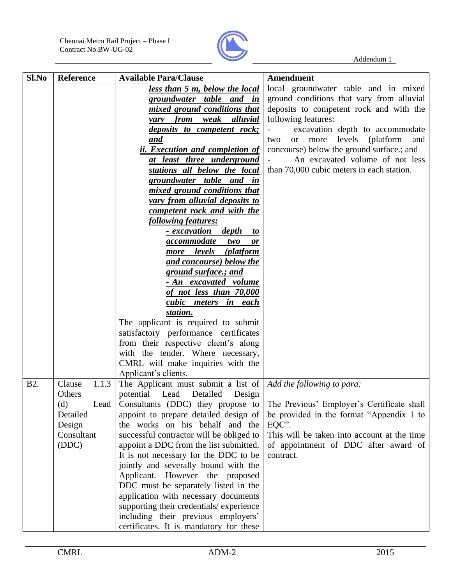

| Sl.No            | <b>Reference</b> | <b>Available Para/Clause</b>                               | <b>Amendment</b>                                            |
|------------------|------------------|------------------------------------------------------------|-------------------------------------------------------------|
|                  |                  | less than 5 m, below the local                             | local groundwater table and in mixed                        |
|                  |                  | groundwater table and in                                   | ground conditions that vary from alluvial                   |
|                  |                  | mixed ground conditions that                               | deposits to competent rock and with the                     |
|                  |                  | from weak alluvial<br>vary                                 | following features:                                         |
|                  |                  | <i>deposits to competent rock;</i>                         | excavation depth to accommodate                             |
|                  |                  | and                                                        | levels<br>(platform)<br>more<br>and<br>two<br><sub>or</sub> |
|                  |                  | <i>ii. Execution and completion of</i>                     | concourse) below the ground surface :; and                  |
|                  |                  | at least three underground                                 | An excavated volume of not less                             |
|                  |                  | stations all below the local                               | than 70,000 cubic meters in each station.                   |
|                  |                  | groundwater table and in                                   |                                                             |
|                  |                  | mixed ground conditions that                               |                                                             |
|                  |                  | vary from alluvial deposits to                             |                                                             |
|                  |                  | competent rock and with the                                |                                                             |
|                  |                  | following features:                                        |                                                             |
|                  |                  | depth<br><u>- excavation</u><br>$\boldsymbol{\mathit{to}}$ |                                                             |
|                  |                  | accommodate two<br>or                                      |                                                             |
|                  |                  | more levels (platform                                      |                                                             |
|                  |                  | and concourse) below the                                   |                                                             |
|                  |                  | ground surface.; and                                       |                                                             |
|                  |                  | - An excavated volume                                      |                                                             |
|                  |                  | of not less than 70,000                                    |                                                             |
|                  |                  | cubic meters in each                                       |                                                             |
|                  |                  | station.                                                   |                                                             |
|                  |                  | The applicant is required to submit                        |                                                             |
|                  |                  | satisfactory performance certificates                      |                                                             |
|                  |                  | from their respective client's along                       |                                                             |
|                  |                  | with the tender. Where necessary,                          |                                                             |
|                  |                  | CMRL will make inquiries with the                          |                                                             |
|                  |                  | Applicant's clients.                                       |                                                             |
| B <sub>2</sub> . | Clause<br>1.1.3  | The Applicant must submit a list of                        | Add the following to para:                                  |
|                  | Others           | potential Lead Detailed<br>Design                          |                                                             |
|                  | (d)<br>Lead      | Consultants (DDC) they propose to                          | The Previous' Employer's Certificate shall                  |
|                  | Detailed         | appoint to prepare detailed design of                      | be provided in the format "Appendix 1 to                    |
|                  | Design           | the works on his behalf and the                            | EQC".                                                       |
|                  | Consultant       | successful contractor will be obliged to                   | This will be taken into account at the time                 |
|                  | (DDC)            | appoint a DDC from the list submitted.                     | of appointment of DDC after award of                        |
|                  |                  | It is not necessary for the DDC to be                      | contract.                                                   |
|                  |                  | jointly and severally bound with the                       |                                                             |
|                  |                  | Applicant. However the proposed                            |                                                             |
|                  |                  | DDC must be separately listed in the                       |                                                             |
|                  |                  | application with necessary documents                       |                                                             |
|                  |                  | supporting their credentials/experience                    |                                                             |
|                  |                  | including their previous employers'                        |                                                             |
|                  |                  | certificates. It is mandatory for these                    |                                                             |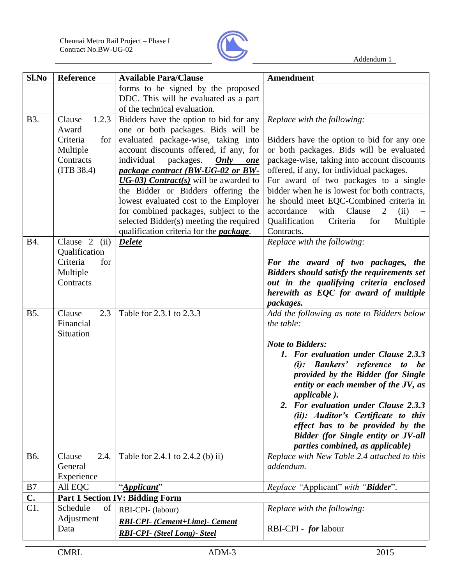

| Sl.No          | <b>Reference</b>        | <b>Available Para/Clause</b>                                                | <b>Amendment</b>                                                                         |
|----------------|-------------------------|-----------------------------------------------------------------------------|------------------------------------------------------------------------------------------|
|                |                         | forms to be signed by the proposed                                          |                                                                                          |
|                |                         | DDC. This will be evaluated as a part<br>of the technical evaluation.       |                                                                                          |
| <b>B</b> 3.    | 1.2.3<br>Clause         | Bidders have the option to bid for any                                      | Replace with the following:                                                              |
|                | Award                   | one or both packages. Bids will be                                          |                                                                                          |
|                | Criteria<br>for         | evaluated package-wise, taking into                                         | Bidders have the option to bid for any one                                               |
|                | Multiple                | account discounts offered, if any, for                                      | or both packages. Bids will be evaluated                                                 |
|                | Contracts<br>(ITB 38.4) | individual<br>packages.<br>Only<br>one<br>package contract (BW-UG-02 or BW- | package-wise, taking into account discounts<br>offered, if any, for individual packages. |
|                |                         | $\overline{UG-03)}$ Contract(s) will be awarded to                          | For award of two packages to a single                                                    |
|                |                         | the Bidder or Bidders offering the                                          | bidder when he is lowest for both contracts,                                             |
|                |                         | lowest evaluated cost to the Employer                                       | he should meet EQC-Combined criteria in                                                  |
|                |                         | for combined packages, subject to the                                       | with<br>Clause<br>accordance<br>$\overline{2}$<br>(ii)                                   |
|                |                         | selected Bidder(s) meeting the required                                     | Qualification<br>Multiple<br>for<br>Criteria                                             |
| B4.            | Clause $2$ (ii)         | qualification criteria for the <b>package</b> .<br><b>Delete</b>            | Contracts.<br>Replace with the following:                                                |
|                | Qualification           |                                                                             |                                                                                          |
|                | Criteria<br>for         |                                                                             | For the award of two packages, the                                                       |
|                | Multiple                |                                                                             | <b>Bidders should satisfy the requirements set</b>                                       |
|                | Contracts               |                                                                             | out in the qualifying criteria enclosed                                                  |
|                |                         |                                                                             | herewith as EQC for award of multiple                                                    |
| <b>B5.</b>     | 2.3<br>Clause           | Table for 2.3.1 to 2.3.3                                                    | packages.                                                                                |
|                | Financial               |                                                                             | Add the following as note to Bidders below<br>the table:                                 |
|                | Situation               |                                                                             |                                                                                          |
|                |                         |                                                                             | <b>Note to Bidders:</b>                                                                  |
|                |                         |                                                                             | 1. For evaluation under Clause 2.3.3                                                     |
|                |                         |                                                                             | (i): Bankers' reference to be                                                            |
|                |                         |                                                                             | provided by the Bidder (for Single                                                       |
|                |                         |                                                                             | entity or each member of the JV, as<br>applicable).                                      |
|                |                         |                                                                             | 2. For evaluation under Clause 2.3.3                                                     |
|                |                         |                                                                             | (ii): Auditor's Certificate to this                                                      |
|                |                         |                                                                             | effect has to be provided by the                                                         |
|                |                         |                                                                             | <b>Bidder</b> (for Single entity or JV-all                                               |
| B6.            | Clause<br>2.4.          | Table for 2.4.1 to 2.4.2 (b) ii)                                            | parties combined, as applicable)<br>Replace with New Table 2.4 attached to this          |
|                | General                 |                                                                             | addendum.                                                                                |
|                | Experience              |                                                                             |                                                                                          |
| B7             | All EQC                 | "Applicant"                                                                 | Replace "Applicant" with "Bidder".                                                       |
| $\mathbf{C}$ . |                         | <b>Part 1 Section IV: Bidding Form</b>                                      |                                                                                          |
| C1.            | Schedule<br>of          | RBI-CPI- (labour)                                                           | Replace with the following:                                                              |
|                | Adjustment              | <b>RBI-CPI-</b> (Cement+Lime)- Cement                                       |                                                                                          |
|                | Data                    | <b>RBI-CPI-</b> (Steel Long)- Steel                                         | RBI-CPI - <i>for</i> labour                                                              |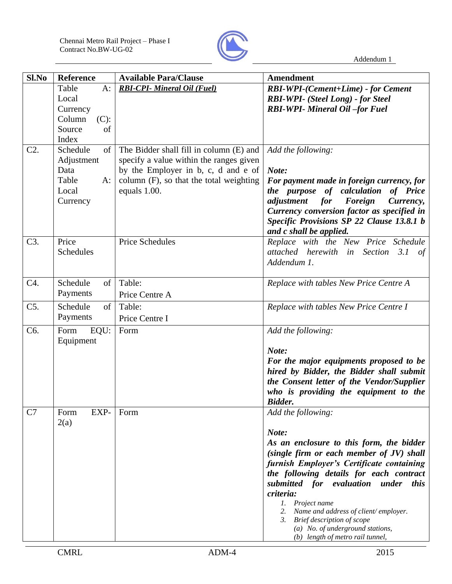

| Sl.No  | Reference         | <b>Available Para/Clause</b>            | Amendment                                                                |
|--------|-------------------|-----------------------------------------|--------------------------------------------------------------------------|
|        | Table<br>$A$ :    | <b>RBI-CPI-</b> Mineral Oil (Fuel)      | <b>RBI-WPI-(Cement+Lime) - for Cement</b>                                |
|        | Local             |                                         | <b>RBI-WPI-</b> (Steel Long) - for Steel                                 |
|        | Currency          |                                         | <b>RBI-WPI- Mineral Oil-for Fuel</b>                                     |
|        | Column<br>$(C)$ : |                                         |                                                                          |
|        | Source<br>of      |                                         |                                                                          |
|        | Index             |                                         |                                                                          |
| $C2$ . | Schedule<br>of    | The Bidder shall fill in column (E) and | Add the following:                                                       |
|        | Adjustment        | specify a value within the ranges given |                                                                          |
|        | Data              | by the Employer in b, c, d and e of     | Note:                                                                    |
|        | Table<br>$A$ :    | column (F), so that the total weighting | For payment made in foreign currency, for                                |
|        | Local             | equals 1.00.                            | the purpose of calculation<br>of Price                                   |
|        | Currency          |                                         | adjustment<br>Foreign<br>for<br>Currency,                                |
|        |                   |                                         | Currency conversion factor as specified in                               |
|        |                   |                                         | Specific Provisions SP 22 Clause 13.8.1 b                                |
|        |                   |                                         | and c shall be applied.                                                  |
| C3.    | Price             | <b>Price Schedules</b>                  | Replace with the New Price Schedule                                      |
|        | Schedules         |                                         | attached herewith in Section 3.1 of                                      |
|        |                   |                                         | Addendum 1.                                                              |
|        |                   |                                         |                                                                          |
| C4.    | Schedule<br>of    | Table:                                  | Replace with tables New Price Centre A                                   |
|        | Payments          | Price Centre A                          |                                                                          |
| C5.    | Schedule<br>of    | Table:                                  | Replace with tables New Price Centre I                                   |
|        | Payments          |                                         |                                                                          |
|        |                   | Price Centre I                          |                                                                          |
| C6.    | Form<br>EQU:      | Form                                    | Add the following:                                                       |
|        | Equipment         |                                         |                                                                          |
|        |                   |                                         | Note:                                                                    |
|        |                   |                                         | For the major equipments proposed to be                                  |
|        |                   |                                         | hired by Bidder, the Bidder shall submit                                 |
|        |                   |                                         | the Consent letter of the Vendor/Supplier                                |
|        |                   |                                         | who is providing the equipment to the                                    |
|        |                   |                                         | <b>Bidder.</b>                                                           |
| C7     | EXP-<br>Form      | Form                                    | Add the following:                                                       |
|        | 2(a)              |                                         |                                                                          |
|        |                   |                                         | Note:                                                                    |
|        |                   |                                         | As an enclosure to this form, the bidder                                 |
|        |                   |                                         | (single firm or each member of JV) shall                                 |
|        |                   |                                         | furnish Employer's Certificate containing                                |
|        |                   |                                         | the following details for each contract                                  |
|        |                   |                                         | submitted for evaluation under<br><i>this</i>                            |
|        |                   |                                         | criteria:                                                                |
|        |                   |                                         | 1. Project name                                                          |
|        |                   |                                         | 2. Name and address of client/employer.<br>3. Brief description of scope |
|        |                   |                                         | (a) No. of underground stations,                                         |
|        |                   |                                         | (b) length of metro rail tunnel,                                         |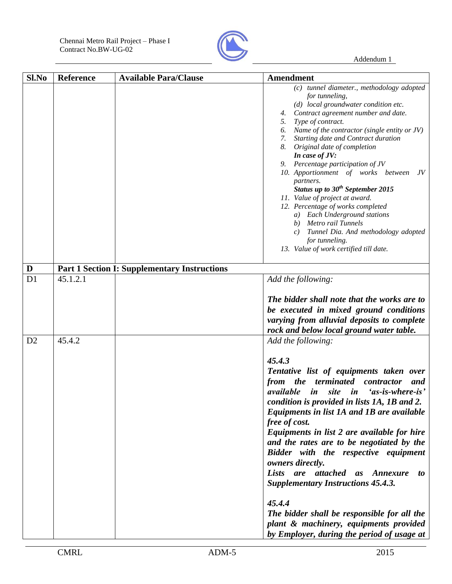

| Sl.No          | <b>Reference</b> | <b>Available Para/Clause</b>                        | <b>Amendment</b>                                                                                                                                                                                                                                                                                                                                                                                                                                                                                                                                                                                                                                                                                                                   |
|----------------|------------------|-----------------------------------------------------|------------------------------------------------------------------------------------------------------------------------------------------------------------------------------------------------------------------------------------------------------------------------------------------------------------------------------------------------------------------------------------------------------------------------------------------------------------------------------------------------------------------------------------------------------------------------------------------------------------------------------------------------------------------------------------------------------------------------------------|
|                |                  |                                                     | (c) tunnel diameter., methodology adopted<br>for tunneling,<br>(d) local groundwater condition etc.<br>Contract agreement number and date.<br>4.<br>Type of contract.<br>5.<br>Name of the contractor (single entity or JV)<br>6.<br>Starting date and Contract duration<br>7.<br>8.<br>Original date of completion<br>In case of JV:<br>9. Percentage participation of JV<br>10. Apportionment of works between<br>JV<br>partners.<br>Status up to $30^{th}$ September 2015<br>11. Value of project at award.<br>12. Percentage of works completed<br><b>Each Underground stations</b><br>a)<br>Metro rail Tunnels<br>b)<br>Tunnel Dia. And methodology adopted<br>c)<br>for tunneling.<br>13. Value of work certified till date. |
| D              |                  | <b>Part 1 Section I: Supplementary Instructions</b> |                                                                                                                                                                                                                                                                                                                                                                                                                                                                                                                                                                                                                                                                                                                                    |
| D <sub>1</sub> | 45.1.2.1         |                                                     | Add the following:<br>The bidder shall note that the works are to<br>be executed in mixed ground conditions<br>varying from alluvial deposits to complete<br>rock and below local ground water table.                                                                                                                                                                                                                                                                                                                                                                                                                                                                                                                              |
| D2             | 45.4.2           |                                                     | Add the following:<br>45.4.3<br>Tentative list of equipments taken over<br>the terminated<br>contractor<br>from<br>and<br>site in<br>'as-is-where-is'<br>available<br>in<br>condition is provided in lists 1A, 1B and 2.<br>Equipments in list 1A and 1B are available<br>free of cost.<br>Equipments in list 2 are available for hire<br>and the rates are to be negotiated by the<br>Bidder with the respective equipment<br>owners directly.<br>Lists are attached as Annexure<br>to<br><b>Supplementary Instructions 45.4.3.</b><br>45.4.4<br>The bidder shall be responsible for all the<br>plant & machinery, equipments provided<br>by Employer, during the period of usage at                                              |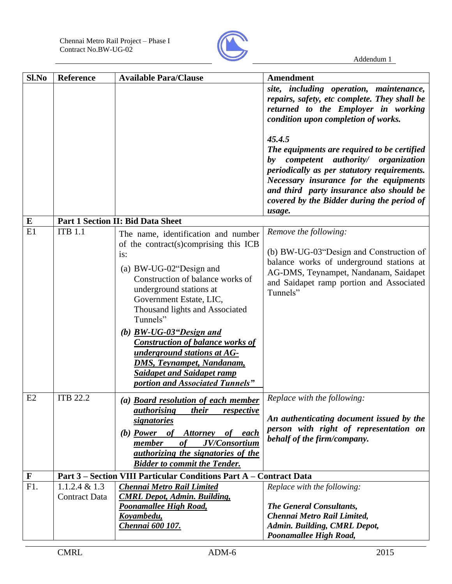

| Sl.No       | <b>Reference</b>                         | <b>Available Para/Clause</b>                                                                                                                                                                                                                                                                                                                                                                                                                                               | <b>Amendment</b>                                                                                                                                                                                                                                                       |
|-------------|------------------------------------------|----------------------------------------------------------------------------------------------------------------------------------------------------------------------------------------------------------------------------------------------------------------------------------------------------------------------------------------------------------------------------------------------------------------------------------------------------------------------------|------------------------------------------------------------------------------------------------------------------------------------------------------------------------------------------------------------------------------------------------------------------------|
|             |                                          |                                                                                                                                                                                                                                                                                                                                                                                                                                                                            | site, including operation, maintenance,<br>repairs, safety, etc complete. They shall be<br>returned to the Employer in working<br>condition upon completion of works.<br>45.4.5                                                                                        |
|             |                                          |                                                                                                                                                                                                                                                                                                                                                                                                                                                                            | The equipments are required to be certified<br>by competent authority/ organization<br>periodically as per statutory requirements.<br>Necessary insurance for the equipments<br>and third party insurance also should be<br>covered by the Bidder during the period of |
| E           |                                          | Part 1 Section II: Bid Data Sheet                                                                                                                                                                                                                                                                                                                                                                                                                                          | usage.                                                                                                                                                                                                                                                                 |
| E1          | <b>ITB 1.1</b>                           | The name, identification and number<br>of the contract(s)comprising this ICB<br>is:<br>(a) BW-UG-02"Design and<br>Construction of balance works of<br>underground stations at<br>Government Estate, LIC,<br>Thousand lights and Associated<br>Tunnels"<br>(b) $BW-UG-03$ "Design and<br><b>Construction of balance works of</b><br>underground stations at AG-<br><u>DMS, Teynampet, Nandanam,</u><br><b>Saidapet and Saidapet ramp</b><br>portion and Associated Tunnels" | Remove the following:<br>(b) BW-UG-03"Design and Construction of<br>balance works of underground stations at<br>AG-DMS, Teynampet, Nandanam, Saidapet<br>and Saidapet ramp portion and Associated<br>Tunnels"                                                          |
| E2          | <b>ITB 22.2</b>                          | (a) <b>Board resolution of each member</b><br>their<br><i><u>authorising</u></i><br>respective<br><i>signatories</i><br>(b) Power of Attorney<br>of each<br>JV/Consortium<br>member<br>$\boldsymbol{\theta}$ f<br><i>authorizing the signatories of the</i><br><b>Bidder to commit the Tender.</b>                                                                                                                                                                         | Replace with the following:<br>An authenticating document issued by the<br>person with right of representation on<br>behalf of the firm/company.                                                                                                                       |
| $\mathbf F$ |                                          | Part 3 – Section VIII Particular Conditions Part A – Contract Data                                                                                                                                                                                                                                                                                                                                                                                                         |                                                                                                                                                                                                                                                                        |
| F1.         | $1.1.2.4 \& 1.3$<br><b>Contract Data</b> | Chennai Metro Rail Limited<br><b>CMRL Depot, Admin. Building,</b><br>Poonamallee High Road,<br>Koyambedu,<br>Chennai 600 107.                                                                                                                                                                                                                                                                                                                                              | Replace with the following:<br>The General Consultants,<br>Chennai Metro Rail Limited,<br>Admin. Building, CMRL Depot,<br>Poonamallee High Road,                                                                                                                       |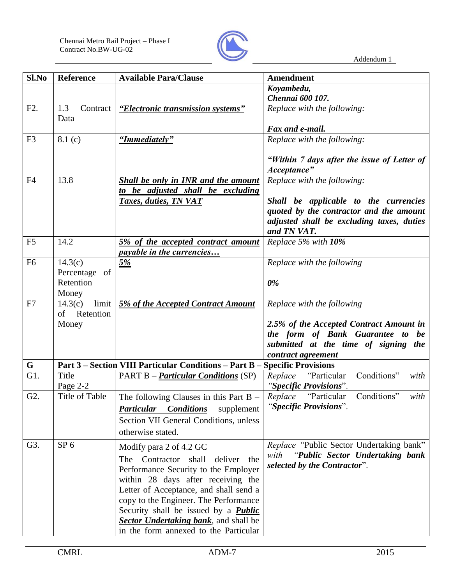

| Sl.No            | <b>Reference</b>        | <b>Available Para/Clause</b>                                  | <b>Amendment</b>                                                            |
|------------------|-------------------------|---------------------------------------------------------------|-----------------------------------------------------------------------------|
|                  |                         |                                                               | Koyambedu,                                                                  |
|                  |                         |                                                               | Chennai 600 107.                                                            |
| F2.              | 1.3<br>Contract<br>Data | "Electronic transmission systems"                             | Replace with the following:                                                 |
|                  |                         |                                                               | Fax and e-mail.                                                             |
| F <sub>3</sub>   | 8.1(c)                  | "Immediately"                                                 | Replace with the following:                                                 |
|                  |                         |                                                               | "Within 7 days after the issue of Letter of<br>Acceptance"                  |
| F <sub>4</sub>   | 13.8                    | Shall be only in INR and the amount                           | Replace with the following:                                                 |
|                  |                         | to be adjusted shall be excluding                             |                                                                             |
|                  |                         | Taxes, duties, TN VAT                                         | Shall be applicable to the currencies                                       |
|                  |                         |                                                               | quoted by the contractor and the amount                                     |
|                  |                         |                                                               | adjusted shall be excluding taxes, duties                                   |
|                  |                         |                                                               | and TN VAT.                                                                 |
| F <sub>5</sub>   | 14.2                    | 5% of the accepted contract amount                            | Replace 5% with 10%                                                         |
|                  |                         | <i>payable in the currencies</i>                              |                                                                             |
| F <sub>6</sub>   | 14.3(c)                 | 5%                                                            | Replace with the following                                                  |
|                  | Percentage of           |                                                               |                                                                             |
|                  | Retention               |                                                               | 0%                                                                          |
|                  | Money                   |                                                               |                                                                             |
| F7               | limit<br>14.3(c)        | <b>5% of the Accepted Contract Amount</b>                     | Replace with the following                                                  |
|                  | of Retention            |                                                               |                                                                             |
|                  | Money                   |                                                               | 2.5% of the Accepted Contract Amount in<br>the form of Bank Guarantee to be |
|                  |                         |                                                               | submitted at the time of signing the                                        |
|                  |                         |                                                               | contract agreement                                                          |
| $\mathbf G$      |                         | <b>Part 3 - Section VIII Particular Conditions - Part B -</b> | <b>Specific Provisions</b>                                                  |
| G1.              | Title                   | <b>PART B</b> – <i>Particular Conditions</i> (SP)             | Conditions"<br>"Particular<br>Replace<br>with                               |
|                  | Page 2-2                |                                                               | "Specific Provisions".                                                      |
| G <sub>2</sub> . | Title of Table          | The following Clauses in this Part $B -$                      | Conditions"<br>Replace<br>"Particular<br>with                               |
|                  |                         | <b>Particular Conditions</b><br>supplement                    | "Specific Provisions".                                                      |
|                  |                         | Section VII General Conditions, unless                        |                                                                             |
|                  |                         | otherwise stated.                                             |                                                                             |
| G3.              | SP <sub>6</sub>         | Modify para 2 of 4.2 GC                                       | Replace "Public Sector Undertaking bank"                                    |
|                  |                         | Contractor<br>shall<br>deliver<br>the<br>The                  | "Public Sector Undertaking bank<br>with                                     |
|                  |                         | Performance Security to the Employer                          | selected by the Contractor".                                                |
|                  |                         | within 28 days after receiving the                            |                                                                             |
|                  |                         | Letter of Acceptance, and shall send a                        |                                                                             |
|                  |                         | copy to the Engineer. The Performance                         |                                                                             |
|                  |                         | Security shall be issued by a <b>Public</b>                   |                                                                             |
|                  |                         | <b>Sector Undertaking bank</b> , and shall be                 |                                                                             |
|                  |                         | in the form annexed to the Particular                         |                                                                             |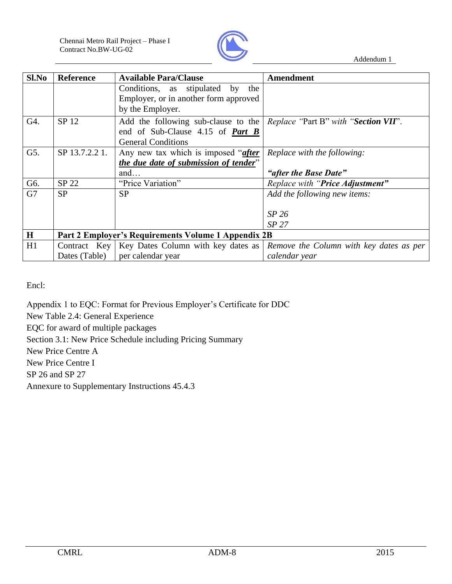

| Sl.No   | <b>Reference</b> | <b>Available Para/Clause</b>                        | <b>Amendment</b>                        |
|---------|------------------|-----------------------------------------------------|-----------------------------------------|
|         |                  | Conditions, as stipulated by the                    |                                         |
|         |                  | Employer, or in another form approved               |                                         |
|         |                  | by the Employer.                                    |                                         |
| G4.     | SP 12            | Add the following sub-clause to the                 | Replace "Part B" with "Section VII".    |
|         |                  | end of Sub-Clause 4.15 of <i>Part B</i>             |                                         |
|         |                  | <b>General Conditions</b>                           |                                         |
| G5.     | SP 13.7.2.2 1.   | Any new tax which is imposed "after                 | <i>Replace with the following:</i>      |
|         |                  | the due date of submission of tender"               |                                         |
|         |                  | and                                                 | "after the Base Date"                   |
| G6.     | SP 22            | "Price Variation"                                   | Replace with "Price Adjustment"         |
| G7      | <b>SP</b>        | <b>SP</b>                                           | Add the following new items:            |
|         |                  |                                                     |                                         |
|         |                  |                                                     | SP <sub>26</sub>                        |
|         |                  |                                                     | SP <sub>27</sub>                        |
| $\bf H$ |                  | Part 2 Employer's Requirements Volume 1 Appendix 2B |                                         |
| H1      | Contract Key     | Key Dates Column with key dates as                  | Remove the Column with key dates as per |
|         | Dates (Table)    | per calendar year                                   | calendar year                           |

Encl:

Appendix 1 to EQC: Format for Previous Employer's Certificate for DDC

New Table 2.4: General Experience

EQC for award of multiple packages

Section 3.1: New Price Schedule including Pricing Summary

New Price Centre A

New Price Centre I

SP 26 and SP 27

Annexure to Supplementary Instructions 45.4.3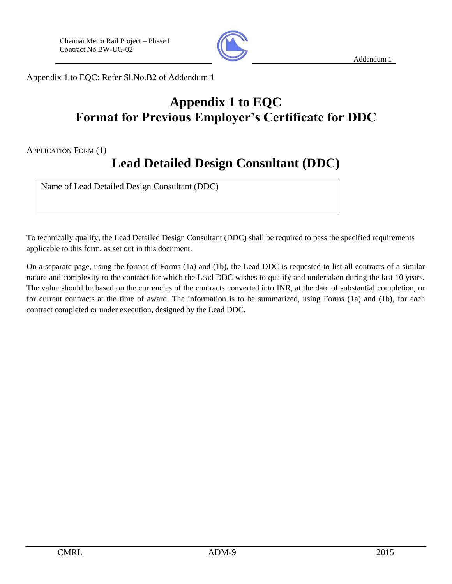

Appendix 1 to EQC: Refer Sl.No.B2 of Addendum 1

## **Appendix 1 to EQC Format for Previous Employer's Certificate for DDC**

APPLICATION FORM (1)

# **Lead Detailed Design Consultant (DDC)**

Name of Lead Detailed Design Consultant (DDC)

To technically qualify, the Lead Detailed Design Consultant (DDC) shall be required to pass the specified requirements applicable to this form, as set out in this document.

On a separate page, using the format of Forms (1a) and (1b), the Lead DDC is requested to list all contracts of a similar nature and complexity to the contract for which the Lead DDC wishes to qualify and undertaken during the last 10 years. The value should be based on the currencies of the contracts converted into INR, at the date of substantial completion, or for current contracts at the time of award. The information is to be summarized, using Forms (1a) and (1b), for each contract completed or under execution, designed by the Lead DDC.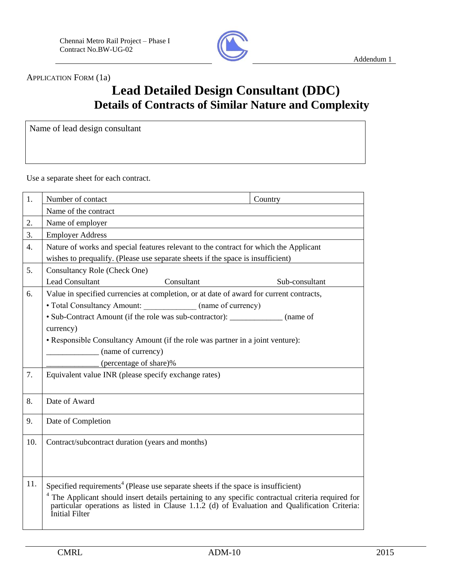

APPLICATION FORM (1a)

## **Lead Detailed Design Consultant (DDC) Details of Contracts of Similar Nature and Complexity**

Name of lead design consultant

Use a separate sheet for each contract.

| 1.               | Number of contact                                                                                                                                                                                                | Country        |  |  |  |
|------------------|------------------------------------------------------------------------------------------------------------------------------------------------------------------------------------------------------------------|----------------|--|--|--|
|                  | Name of the contract                                                                                                                                                                                             |                |  |  |  |
| 2.               | Name of employer                                                                                                                                                                                                 |                |  |  |  |
| 3.               | <b>Employer Address</b>                                                                                                                                                                                          |                |  |  |  |
| $\overline{4}$ . | Nature of works and special features relevant to the contract for which the Applicant<br>wishes to prequalify. (Please use separate sheets if the space is insufficient)                                         |                |  |  |  |
| 5.               | <b>Consultancy Role (Check One)</b>                                                                                                                                                                              |                |  |  |  |
|                  | <b>Lead Consultant</b><br>Consultant                                                                                                                                                                             | Sub-consultant |  |  |  |
| 6.               | Value in specified currencies at completion, or at date of award for current contracts,<br>• Total Consultancy Amount: (name of currency)                                                                        |                |  |  |  |
|                  | • Sub-Contract Amount (if the role was sub-contractor): _____________ (name of                                                                                                                                   |                |  |  |  |
|                  | currency)                                                                                                                                                                                                        |                |  |  |  |
|                  | • Responsible Consultancy Amount (if the role was partner in a joint venture):                                                                                                                                   |                |  |  |  |
|                  | (name of currency)                                                                                                                                                                                               |                |  |  |  |
|                  | (percentage of share)%                                                                                                                                                                                           |                |  |  |  |
| 7.               | Equivalent value INR (please specify exchange rates)                                                                                                                                                             |                |  |  |  |
| 8.               | Date of Award                                                                                                                                                                                                    |                |  |  |  |
| 9.               | Date of Completion                                                                                                                                                                                               |                |  |  |  |
| 10.              | Contract/subcontract duration (years and months)                                                                                                                                                                 |                |  |  |  |
|                  |                                                                                                                                                                                                                  |                |  |  |  |
|                  |                                                                                                                                                                                                                  |                |  |  |  |
| 11.              | Specified requirements <sup>4</sup> (Please use separate sheets if the space is insufficient)                                                                                                                    |                |  |  |  |
|                  | The Applicant should insert details pertaining to any specific contractual criteria required for particular operations as listed in Clause 1.1.2 (d) of Evaluation and Qualification Criteria:<br>Initial Filter |                |  |  |  |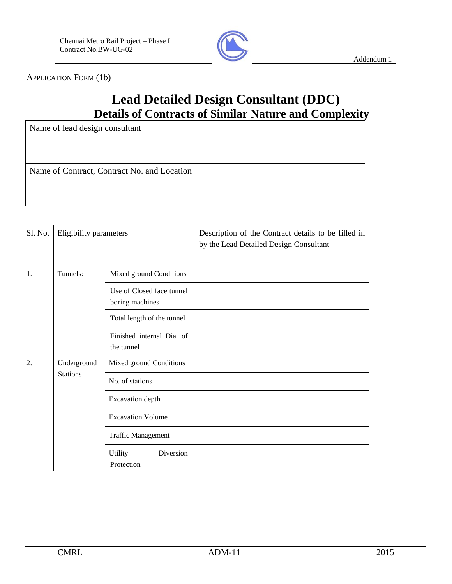

APPLICATION FORM (1b)

## **Lead Detailed Design Consultant (DDC) Details of Contracts of Similar Nature and Complexity**

Name of lead design consultant

Name of Contract, Contract No. and Location

| Sl. No.    | Eligibility parameters                                 |                                    | Description of the Contract details to be filled in<br>by the Lead Detailed Design Consultant |
|------------|--------------------------------------------------------|------------------------------------|-----------------------------------------------------------------------------------------------|
| 1.         | Tunnels:                                               | Mixed ground Conditions            |                                                                                               |
|            | Use of Closed face tunnel<br>boring machines           |                                    |                                                                                               |
| the tunnel |                                                        | Total length of the tunnel         |                                                                                               |
|            |                                                        | Finished internal Dia. of          |                                                                                               |
| 2.         | Underground                                            | Mixed ground Conditions            |                                                                                               |
|            | <b>Stations</b><br>No. of stations<br>Excavation depth |                                    |                                                                                               |
|            |                                                        |                                    |                                                                                               |
|            |                                                        | <b>Excavation Volume</b>           |                                                                                               |
|            | <b>Traffic Management</b>                              |                                    |                                                                                               |
|            |                                                        | Diversion<br>Utility<br>Protection |                                                                                               |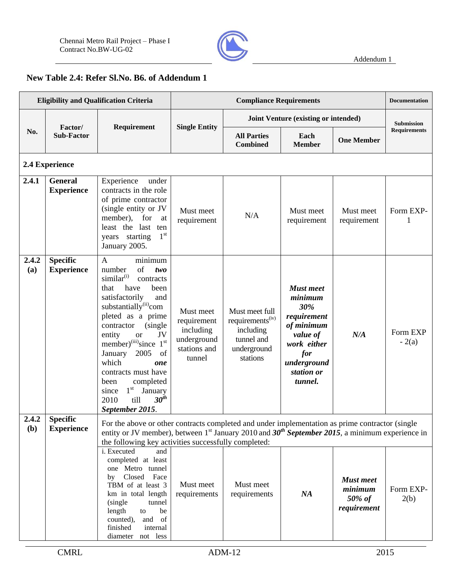

## **New Table 2.4: Refer Sl.No. B6. of Addendum 1**

| <b>Eligibility and Qualification Criteria</b> |                                      |                                                                                                                                                                                                                                                                                                                                                                                                                                                                                   | <b>Compliance Requirements</b>                                                 |                                                                                                      |                                                                                                                                           |                                                      | <b>Documentation</b> |
|-----------------------------------------------|--------------------------------------|-----------------------------------------------------------------------------------------------------------------------------------------------------------------------------------------------------------------------------------------------------------------------------------------------------------------------------------------------------------------------------------------------------------------------------------------------------------------------------------|--------------------------------------------------------------------------------|------------------------------------------------------------------------------------------------------|-------------------------------------------------------------------------------------------------------------------------------------------|------------------------------------------------------|----------------------|
|                                               |                                      |                                                                                                                                                                                                                                                                                                                                                                                                                                                                                   |                                                                                |                                                                                                      | Joint Venture (existing or intended)                                                                                                      |                                                      | <b>Submission</b>    |
| No.                                           | Factor/<br><b>Sub-Factor</b>         | Requirement                                                                                                                                                                                                                                                                                                                                                                                                                                                                       | <b>Single Entity</b>                                                           | <b>All Parties</b><br><b>Combined</b>                                                                | Each<br><b>Member</b>                                                                                                                     | <b>One Member</b>                                    | <b>Requirements</b>  |
|                                               | 2.4 Experience                       |                                                                                                                                                                                                                                                                                                                                                                                                                                                                                   |                                                                                |                                                                                                      |                                                                                                                                           |                                                      |                      |
| 2.4.1                                         | <b>General</b><br><b>Experience</b>  | Experience<br>under<br>contracts in the role<br>of prime contractor<br>(single entity or JV<br>member), for<br>at<br>least the last<br>ten<br>1 <sup>st</sup><br>years starting<br>January 2005.                                                                                                                                                                                                                                                                                  | Must meet<br>requirement                                                       | N/A                                                                                                  | Must meet<br>requirement                                                                                                                  | Must meet<br>requirement                             | Form EXP-<br>1       |
| 2.4.2<br>(a)                                  | <b>Specific</b><br><b>Experience</b> | minimum<br>$\mathbf{A}$<br>of<br>number<br>two<br>similar <sup>(i)</sup><br>contracts<br>have<br>been<br>that<br>satisfactorily<br>and<br>substantially <sup>(ii)</sup> com<br>pleted as a prime<br>(single<br>contractor<br>entity<br>JV<br><b>or</b><br>member) <sup>(iii)</sup> since 1 <sup>st</sup><br>2005<br>of<br>January<br>which<br>one<br>contracts must have<br>completed<br>been<br>$1^{\rm st}$<br>January<br>since<br>$30^{th}$<br>till<br>2010<br>September 2015. | Must meet<br>requirement<br>including<br>underground<br>stations and<br>tunnel | Must meet full<br>requirements <sup>(iv)</sup><br>including<br>tunnel and<br>underground<br>stations | <b>Must</b> meet<br>minimum<br>30%<br>requirement<br>of minimum<br>value of<br>work either<br>for<br>underground<br>station or<br>tunnel. | N/A                                                  | Form EXP<br>$-2(a)$  |
| 2.4.2<br>(b)                                  | <b>Specific</b><br><b>Experience</b> | For the above or other contracts completed and under implementation as prime contractor (single<br>entity or JV member), between 1 <sup>st</sup> January 2010 and $30th$ September 2015, a minimum experience in<br>the following key activities successfully completed:                                                                                                                                                                                                          |                                                                                |                                                                                                      |                                                                                                                                           |                                                      |                      |
|                                               |                                      | i. Executed<br>and<br>completed at least<br>one Metro tunnel<br>Closed Face<br>by<br>TBM of at least 3<br>km in total length<br>(single<br>tunnel<br>length<br>be<br>to<br>counted),<br>and of<br>finished<br>internal<br>diameter not less                                                                                                                                                                                                                                       | Must meet<br>requirements                                                      | Must meet<br>requirements                                                                            | NA                                                                                                                                        | <b>Must meet</b><br>minimum<br>50% of<br>requirement | Form EXP-<br>2(b)    |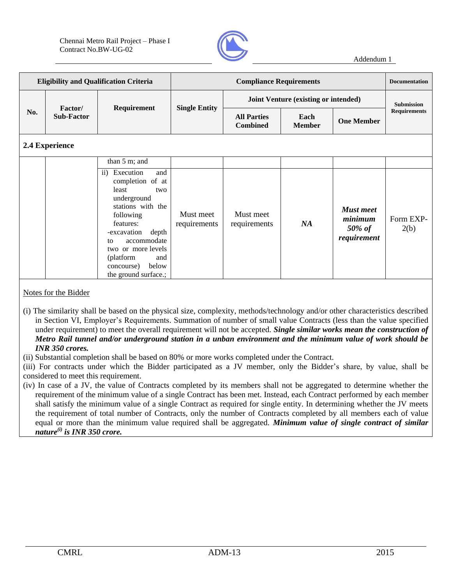

| <b>Eligibility and Qualification Criteria</b> |                                      |                    | <b>Compliance Requirements</b> |                                             |                       |                   | <b>Documentation</b> |
|-----------------------------------------------|--------------------------------------|--------------------|--------------------------------|---------------------------------------------|-----------------------|-------------------|----------------------|
|                                               |                                      | <b>Requirement</b> | <b>Single Entity</b>           | <b>Joint Venture (existing or intended)</b> |                       |                   | <b>Submission</b>    |
| No.                                           | <b>Factor</b> /<br><b>Sub-Factor</b> |                    |                                | <b>All Parties</b><br><b>Combined</b>       | Each<br><b>Member</b> | <b>One Member</b> | <b>Requirements</b>  |
| $2.4$ E $-2.2$                                |                                      |                    |                                |                                             |                       |                   |                      |

### **2.4 Experience**

|  | than $5 \text{ m}$ ; and                                                                                                                                                                                                                                   |                           |                           |    |                                                         |                   |
|--|------------------------------------------------------------------------------------------------------------------------------------------------------------------------------------------------------------------------------------------------------------|---------------------------|---------------------------|----|---------------------------------------------------------|-------------------|
|  | ii) Execution<br>and<br>completion of at<br>least<br>two<br>underground<br>stations with the<br>following<br>features:<br>-excavation depth<br>accommodate<br>to<br>two or more levels<br>(platform)<br>and<br>below<br>concourse)<br>the ground surface.; | Must meet<br>requirements | Must meet<br>requirements | NA | <b>Must meet</b><br>minimum<br>$50\%$ of<br>requirement | Form EXP-<br>2(b) |

#### Notes for the Bidder

- (i) The similarity shall be based on the physical size, complexity, methods/technology and/or other characteristics described in Section VI, Employer's Requirements. Summation of number of small value Contracts (less than the value specified under requirement) to meet the overall requirement will not be accepted. *Single similar works mean the construction of Metro Rail tunnel and/or underground station in a unban environment and the minimum value of work should be INR 350 crores.*
- (ii) Substantial completion shall be based on 80% or more works completed under the Contract.

(iii) For contracts under which the Bidder participated as a JV member, only the Bidder's share, by value, shall be considered to meet this requirement.

(iv) In case of a JV, the value of Contracts completed by its members shall not be aggregated to determine whether the requirement of the minimum value of a single Contract has been met. Instead, each Contract performed by each member shall satisfy the minimum value of a single Contract as required for single entity. In determining whether the JV meets the requirement of total number of Contracts, only the number of Contracts completed by all members each of value equal or more than the minimum value required shall be aggregated. *Minimum value of single contract of similar nature(i) is INR 350 crore.*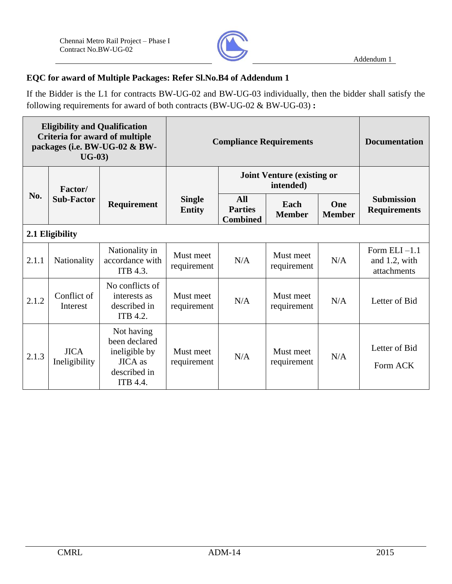

## **EQC for award of Multiple Packages: Refer Sl.No.B4 of Addendum 1**

If the Bidder is the L1 for contracts BW-UG-02 and BW-UG-03 individually, then the bidder shall satisfy the following requirements for award of both contracts (BW-UG-02 & BW-UG-03) **:**

| <b>Eligibility and Qualification</b><br>Criteria for award of multiple<br>packages (i.e. BW-UG-02 & BW-<br>$UG-03)$ |                              | <b>Compliance Requirements</b>                                                             |                                |                                          | <b>Documentation</b>                           |                      |                                                 |  |
|---------------------------------------------------------------------------------------------------------------------|------------------------------|--------------------------------------------------------------------------------------------|--------------------------------|------------------------------------------|------------------------------------------------|----------------------|-------------------------------------------------|--|
| <b>Factor</b> /                                                                                                     |                              |                                                                                            |                                |                                          | <b>Joint Venture (existing or</b><br>intended) |                      |                                                 |  |
| No.                                                                                                                 | <b>Sub-Factor</b>            | Requirement                                                                                | <b>Single</b><br><b>Entity</b> | All<br><b>Parties</b><br><b>Combined</b> | Each<br><b>Member</b>                          | One<br><b>Member</b> | <b>Submission</b><br><b>Requirements</b>        |  |
|                                                                                                                     | 2.1 Eligibility              |                                                                                            |                                |                                          |                                                |                      |                                                 |  |
| 2.1.1                                                                                                               | Nationality                  | Nationality in<br>accordance with<br>ITB 4.3.                                              | Must meet<br>requirement       | N/A                                      | Must meet<br>requirement                       | N/A                  | Form ELI $-1.1$<br>and 1.2, with<br>attachments |  |
| 2.1.2                                                                                                               | Conflict of<br>Interest      | No conflicts of<br>interests as<br>described in<br>ITB 4.2.                                | Must meet<br>requirement       | N/A                                      | Must meet<br>requirement                       | N/A                  | Letter of Bid                                   |  |
| 2.1.3                                                                                                               | <b>JICA</b><br>Ineligibility | Not having<br>been declared<br>ineligible by<br><b>JICA</b> as<br>described in<br>ITB 4.4. | Must meet<br>requirement       | N/A                                      | Must meet<br>requirement                       | N/A                  | Letter of Bid<br>Form ACK                       |  |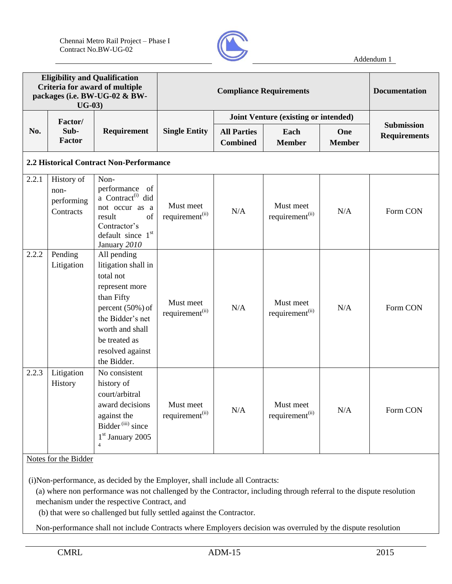

|       | <b>Eligibility and Qualification</b><br>$UG-03)$ | Criteria for award of multiple<br>packages (i.e. BW-UG-02 & BW-                                                                                                                                | <b>Compliance Requirements</b>           |                                       |                                          |                      | <b>Documentation</b>                     |
|-------|--------------------------------------------------|------------------------------------------------------------------------------------------------------------------------------------------------------------------------------------------------|------------------------------------------|---------------------------------------|------------------------------------------|----------------------|------------------------------------------|
|       | Factor/                                          |                                                                                                                                                                                                |                                          |                                       | Joint Venture (existing or intended)     |                      |                                          |
| No.   | Sub-<br>Factor                                   | Requirement                                                                                                                                                                                    | <b>Single Entity</b>                     | <b>All Parties</b><br><b>Combined</b> | Each<br><b>Member</b>                    | One<br><b>Member</b> | <b>Submission</b><br><b>Requirements</b> |
|       |                                                  | 2.2 Historical Contract Non-Performance                                                                                                                                                        |                                          |                                       |                                          |                      |                                          |
| 2.2.1 | History of<br>non-<br>performing<br>Contracts    | Non-<br>performance of<br>a Contract <sup>(i)</sup> did<br>not occur as a<br>result<br>of<br>Contractor's<br>default since $1st$<br>January 2010                                               | Must meet<br>requirement <sup>(ii)</sup> | N/A                                   | Must meet<br>requirement <sup>(ii)</sup> | N/A                  | Form CON                                 |
| 2.2.2 | Pending<br>Litigation                            | All pending<br>litigation shall in<br>total not<br>represent more<br>than Fifty<br>percent (50%) of<br>the Bidder's net<br>worth and shall<br>be treated as<br>resolved against<br>the Bidder. | Must meet<br>requirement <sup>(ii)</sup> | N/A                                   | Must meet<br>requirement <sup>(ii)</sup> | N/A                  | Form CON                                 |
| 2.2.3 | Litigation<br>History<br>Notes for the Bidder    | No consistent<br>history of<br>court/arbitral<br>award decisions<br>against the<br>Bidder <sup>(iii)</sup> since<br>$1st$ January 2005<br>$\overline{4}$                                       | Must meet<br>requirement <sup>(ii)</sup> | N/A                                   | Must meet<br>requirement <sup>(ii)</sup> | N/A                  | Form CON                                 |

(i)Non-performance, as decided by the Employer, shall include all Contracts:

(a) where non performance was not challenged by the Contractor, including through referral to the dispute resolution mechanism under the respective Contract, and

(b) that were so challenged but fully settled against the Contractor.

Non-performance shall not include Contracts where Employers decision was overruled by the dispute resolution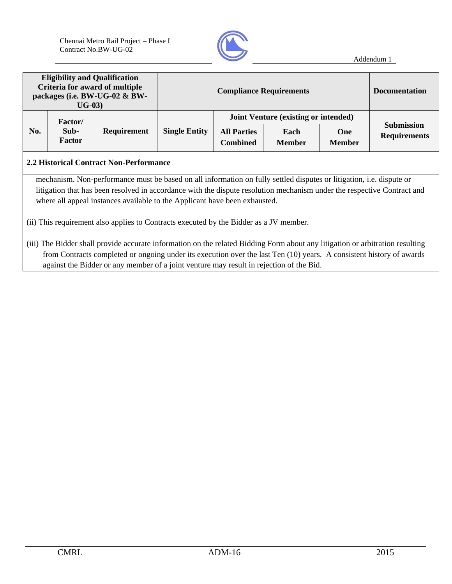

| <b>Eligibility and Qualification</b><br>Criteria for award of multiple<br>packages (i.e. BW-UG-02 & BW-<br>$UG-03)$                                                                                                                                                                                                           |                |                                                                                                                                                                                                                                                                                    | <b>Compliance Requirements</b> |                                       |                                             |                                          | <b>Documentation</b> |  |
|-------------------------------------------------------------------------------------------------------------------------------------------------------------------------------------------------------------------------------------------------------------------------------------------------------------------------------|----------------|------------------------------------------------------------------------------------------------------------------------------------------------------------------------------------------------------------------------------------------------------------------------------------|--------------------------------|---------------------------------------|---------------------------------------------|------------------------------------------|----------------------|--|
|                                                                                                                                                                                                                                                                                                                               | Factor/        |                                                                                                                                                                                                                                                                                    |                                |                                       | <b>Joint Venture (existing or intended)</b> |                                          |                      |  |
| No.                                                                                                                                                                                                                                                                                                                           | Sub-<br>Factor | <b>Requirement</b>                                                                                                                                                                                                                                                                 | <b>Single Entity</b>           | <b>All Parties</b><br><b>Combined</b> | <b>One</b><br><b>Member</b>                 | <b>Submission</b><br><b>Requirements</b> |                      |  |
| 2.2 Historical Contract Non-Performance                                                                                                                                                                                                                                                                                       |                |                                                                                                                                                                                                                                                                                    |                                |                                       |                                             |                                          |                      |  |
| mechanism. Non-performance must be based on all information on fully settled disputes or litigation, i.e. dispute or<br>litigation that has been resolved in accordance with the dispute resolution mechanism under the respective Contract and<br>where all appeal instances available to the Applicant have been exhausted. |                |                                                                                                                                                                                                                                                                                    |                                |                                       |                                             |                                          |                      |  |
| (ii) This requirement also applies to Contracts executed by the Bidder as a JV member.                                                                                                                                                                                                                                        |                |                                                                                                                                                                                                                                                                                    |                                |                                       |                                             |                                          |                      |  |
|                                                                                                                                                                                                                                                                                                                               |                | (iii) The Bidder shall provide accurate information on the related Bidding Form about any litigation or arbitration resulting<br>$\alpha$ , and the set of the set of the set of the set of $\alpha$ and $\alpha$ and $\alpha$ and $\alpha$ and $\alpha$ and $\alpha$ and $\alpha$ |                                |                                       |                                             |                                          |                      |  |

from Contracts completed or ongoing under its execution over the last Ten (10) years. A consistent history of awards against the Bidder or any member of a joint venture may result in rejection of the Bid.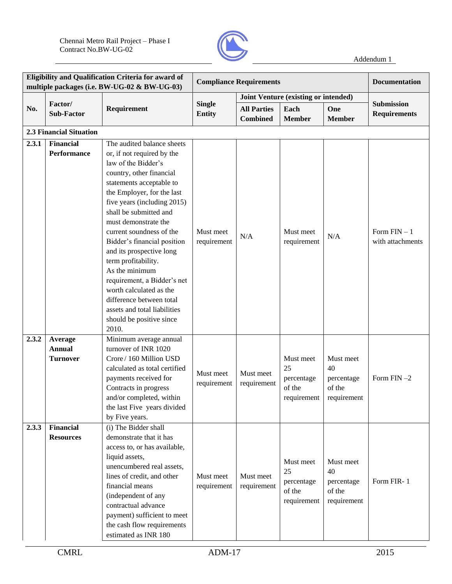

|       |                                             | Eligibility and Qualification Criteria for award of<br>multiple packages (i.e. BW-UG-02 & BW-UG-03)                                                                                                                                                                                                                                                                                                                                                                                                                                               | <b>Compliance Requirements</b> |                                       |                                                        |                                                        | <b>Documentation</b>              |
|-------|---------------------------------------------|---------------------------------------------------------------------------------------------------------------------------------------------------------------------------------------------------------------------------------------------------------------------------------------------------------------------------------------------------------------------------------------------------------------------------------------------------------------------------------------------------------------------------------------------------|--------------------------------|---------------------------------------|--------------------------------------------------------|--------------------------------------------------------|-----------------------------------|
|       |                                             |                                                                                                                                                                                                                                                                                                                                                                                                                                                                                                                                                   |                                |                                       | Joint Venture (existing or intended)                   |                                                        |                                   |
| No.   | Factor/<br><b>Sub-Factor</b>                | Requirement                                                                                                                                                                                                                                                                                                                                                                                                                                                                                                                                       | <b>Single</b><br><b>Entity</b> | <b>All Parties</b><br><b>Combined</b> | Each<br><b>Member</b>                                  | One<br><b>Member</b>                                   | Submission<br><b>Requirements</b> |
|       | <b>2.3 Financial Situation</b>              |                                                                                                                                                                                                                                                                                                                                                                                                                                                                                                                                                   |                                |                                       |                                                        |                                                        |                                   |
| 2.3.1 | <b>Financial</b><br><b>Performance</b>      | The audited balance sheets<br>or, if not required by the<br>law of the Bidder's<br>country, other financial<br>statements acceptable to<br>the Employer, for the last<br>five years (including 2015)<br>shall be submitted and<br>must demonstrate the<br>current soundness of the<br>Bidder's financial position<br>and its prospective long<br>term profitability.<br>As the minimum<br>requirement, a Bidder's net<br>worth calculated as the<br>difference between total<br>assets and total liabilities<br>should be positive since<br>2010. | Must meet<br>requirement       | N/A                                   | Must meet<br>requirement                               | N/A                                                    | Form $FIN-1$<br>with attachments  |
| 2.3.2 | Average<br><b>Annual</b><br><b>Turnover</b> | Minimum average annual<br>turnover of INR 1020<br>Crore / 160 Million USD<br>calculated as total certified<br>payments received for<br>Contracts in progress<br>and/or completed, within<br>the last Five years divided<br>by Five years.                                                                                                                                                                                                                                                                                                         | Must meet<br>requirement       | Must meet<br>requirement              | Must meet<br>25<br>percentage<br>of the<br>requirement | Must meet<br>40<br>percentage<br>of the<br>requirement | Form $FIN-2$                      |
| 2.3.3 | <b>Financial</b><br><b>Resources</b>        | (i) The Bidder shall<br>demonstrate that it has<br>access to, or has available,<br>liquid assets,<br>unencumbered real assets,<br>lines of credit, and other<br>financial means<br>(independent of any<br>contractual advance<br>payment) sufficient to meet<br>the cash flow requirements<br>estimated as INR 180                                                                                                                                                                                                                                | Must meet<br>requirement       | Must meet<br>requirement              | Must meet<br>25<br>percentage<br>of the<br>requirement | Must meet<br>40<br>percentage<br>of the<br>requirement | Form FIR-1                        |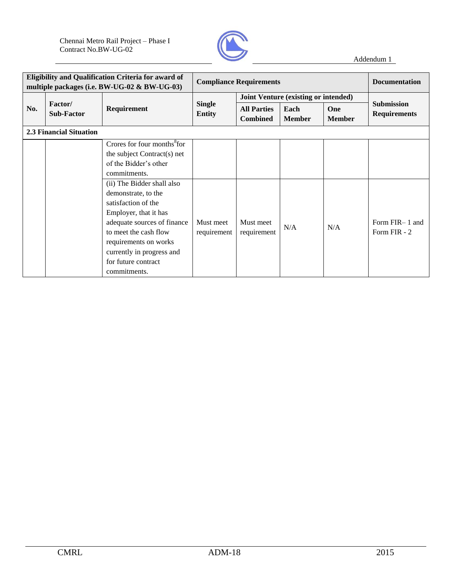

|     | Eligibility and Qualification Criteria for award of<br>multiple packages (i.e. BW-UG-02 & BW-UG-03) |                                                                                                                                                                                                                                                        | <b>Compliance Requirements</b> |                                       |                       |                             | <b>Documentation</b>                     |  |
|-----|-----------------------------------------------------------------------------------------------------|--------------------------------------------------------------------------------------------------------------------------------------------------------------------------------------------------------------------------------------------------------|--------------------------------|---------------------------------------|-----------------------|-----------------------------|------------------------------------------|--|
|     |                                                                                                     |                                                                                                                                                                                                                                                        |                                | Joint Venture (existing or intended)  |                       |                             |                                          |  |
| No. | Factor/<br><b>Sub-Factor</b>                                                                        | <b>Requirement</b>                                                                                                                                                                                                                                     | <b>Single</b><br><b>Entity</b> | <b>All Parties</b><br><b>Combined</b> | Each<br><b>Member</b> | <b>One</b><br><b>Member</b> | <b>Submission</b><br><b>Requirements</b> |  |
|     | <b>2.3 Financial Situation</b>                                                                      |                                                                                                                                                                                                                                                        |                                |                                       |                       |                             |                                          |  |
|     |                                                                                                     | Crores for four months <sup>8</sup> for<br>the subject Contract(s) net<br>of the Bidder's other<br>commitments.                                                                                                                                        |                                |                                       |                       |                             |                                          |  |
|     |                                                                                                     | (ii) The Bidder shall also<br>demonstrate, to the<br>satisfaction of the<br>Employer, that it has<br>adequate sources of finance<br>to meet the cash flow<br>requirements on works<br>currently in progress and<br>for future contract<br>commitments. | Must meet<br>requirement       | Must meet<br>requirement              | N/A                   | N/A                         | Form FIR-1 and<br>Form FIR - 2           |  |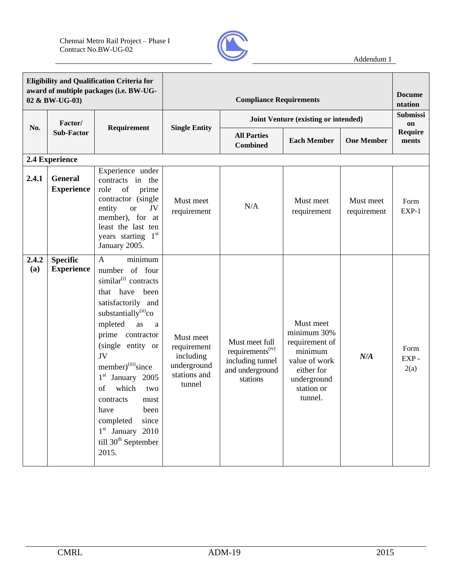

| <b>Eligibility and Qualification Criteria for</b><br>award of multiple packages (i.e. BW-UG-<br>02 & BW-UG-03) |                                      |                                                                                                                                                                                                                                                                                                                                                                                                                                                     |                                                                                |                                                                                                   | <b>Docume</b><br>ntation                                                                                                     |                          |                       |
|----------------------------------------------------------------------------------------------------------------|--------------------------------------|-----------------------------------------------------------------------------------------------------------------------------------------------------------------------------------------------------------------------------------------------------------------------------------------------------------------------------------------------------------------------------------------------------------------------------------------------------|--------------------------------------------------------------------------------|---------------------------------------------------------------------------------------------------|------------------------------------------------------------------------------------------------------------------------------|--------------------------|-----------------------|
|                                                                                                                | Factor/                              |                                                                                                                                                                                                                                                                                                                                                                                                                                                     |                                                                                |                                                                                                   | Joint Venture (existing or intended)                                                                                         |                          | <b>Submissi</b><br>on |
| No.                                                                                                            | <b>Sub-Factor</b>                    | Requirement                                                                                                                                                                                                                                                                                                                                                                                                                                         | <b>Single Entity</b>                                                           | <b>All Parties</b><br><b>Combined</b>                                                             | <b>Each Member</b>                                                                                                           | <b>One Member</b>        | Require<br>ments      |
|                                                                                                                | 2.4 Experience                       |                                                                                                                                                                                                                                                                                                                                                                                                                                                     |                                                                                |                                                                                                   |                                                                                                                              |                          |                       |
| 2.4.1                                                                                                          | <b>General</b><br><b>Experience</b>  | Experience under<br>contracts in the<br>role<br>of<br>prime<br>contractor (single<br>entity<br><b>or</b><br>JV<br>member), for at<br>least the last ten<br>years starting 1st<br>January 2005.                                                                                                                                                                                                                                                      | Must meet<br>requirement                                                       | N/A                                                                                               | Must meet<br>requirement                                                                                                     | Must meet<br>requirement | Form<br>EXP-1         |
| 2.4.2<br>(a)                                                                                                   | <b>Specific</b><br><b>Experience</b> | minimum<br>$\mathbf{A}$<br>number of four<br>similar <sup>(i)</sup> contracts<br>that have been<br>satisfactorily and<br>substantially <sup>(ii)</sup> co<br>mpleted<br>as<br>a<br>prime contractor<br>(single entity or<br>JV<br>member) <sup>(iii)</sup> since<br>January 2005<br>$1^{\rm st}$<br>which<br>of<br>two<br>contracts<br>must<br>been<br>have<br>completed<br>since<br>$1st$ January 2010<br>till 30 <sup>th</sup> September<br>2015. | Must meet<br>requirement<br>including<br>underground<br>stations and<br>tunnel | Must meet full<br>requirements <sup>(iv)</sup><br>including tunnel<br>and underground<br>stations | Must meet<br>minimum 30%<br>requirement of<br>minimum<br>value of work<br>either for<br>underground<br>station or<br>tunnel. | N/A                      | Form<br>EXP-<br>2(a)  |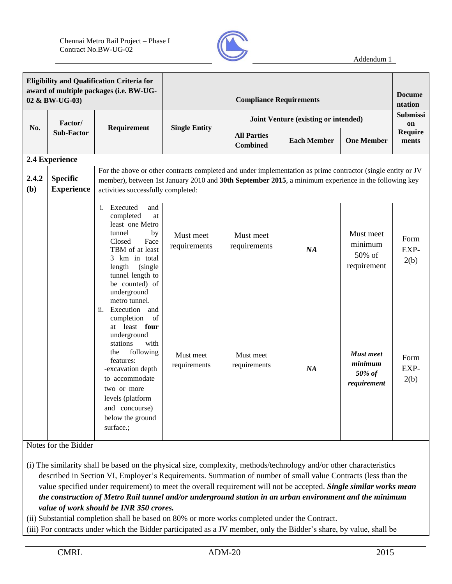

| <b>Eligibility and Qualification Criteria for</b><br>award of multiple packages (i.e. BW-UG-<br>02 & BW-UG-03) |                                      |                                                                                                                                                                                                                                                               |                           | <b>Compliance Requirements</b>        |                                      |                                                      | <b>Docume</b><br>ntation |
|----------------------------------------------------------------------------------------------------------------|--------------------------------------|---------------------------------------------------------------------------------------------------------------------------------------------------------------------------------------------------------------------------------------------------------------|---------------------------|---------------------------------------|--------------------------------------|------------------------------------------------------|--------------------------|
| No.                                                                                                            | Factor/                              | Requirement                                                                                                                                                                                                                                                   | <b>Single Entity</b>      |                                       | Joint Venture (existing or intended) |                                                      | <b>Submissi</b><br>on    |
|                                                                                                                | <b>Sub-Factor</b>                    |                                                                                                                                                                                                                                                               |                           | <b>All Parties</b><br><b>Combined</b> | <b>Each Member</b>                   | <b>One Member</b>                                    | Require<br>ments         |
|                                                                                                                | 2.4 Experience                       |                                                                                                                                                                                                                                                               |                           |                                       |                                      |                                                      |                          |
| 2.4.2<br>(b)                                                                                                   | <b>Specific</b><br><b>Experience</b> | For the above or other contracts completed and under implementation as prime contractor (single entity or JV<br>member), between 1st January 2010 and 30th September 2015, a minimum experience in the following key<br>activities successfully completed:    |                           |                                       |                                      |                                                      |                          |
|                                                                                                                |                                      | i. Executed<br>and<br>completed<br>at<br>least one Metro<br>tunnel<br>by<br>Closed<br>Face<br>TBM of at least<br>3 km in total<br>length<br>(single)<br>tunnel length to<br>be counted) of<br>underground<br>metro tunnel.                                    | Must meet<br>requirements | Must meet<br>requirements             | NA                                   | Must meet<br>minimum<br>50% of<br>requirement        | Form<br>EXP-<br>2(b)     |
|                                                                                                                |                                      | ii.<br>Execution<br>and<br>completion<br>of<br>at least four<br>underground<br>stations<br>with<br>following<br>the<br>features:<br>-excavation depth<br>to accommodate<br>two or more<br>levels (platform<br>and concourse)<br>below the ground<br>surface.; | Must meet<br>requirements | Must meet<br>requirements             | NA                                   | <b>Must</b> meet<br>minimum<br>50% of<br>requirement | Form<br>EXP-<br>2(b)     |

Notes for the Bidder

(i) The similarity shall be based on the physical size, complexity, methods/technology and/or other characteristics described in Section VI, Employer's Requirements. Summation of number of small value Contracts (less than the value specified under requirement) to meet the overall requirement will not be accepted. *Single similar works mean the construction of Metro Rail tunnel and/or underground station in an urban environment and the minimum value of work should be INR 350 crores.*

(ii) Substantial completion shall be based on 80% or more works completed under the Contract.

(iii) For contracts under which the Bidder participated as a JV member, only the Bidder's share, by value, shall be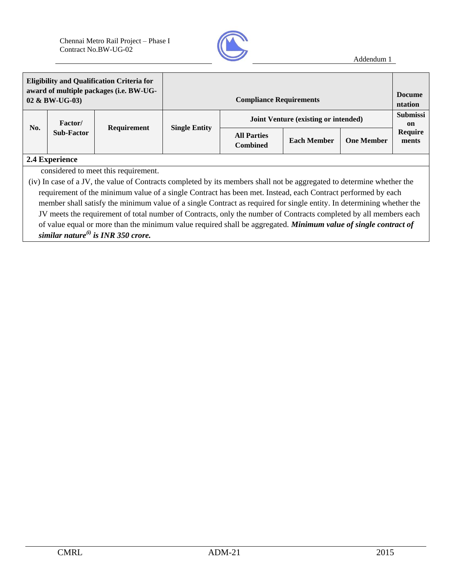

| <b>Eligibility and Qualification Criteria for</b><br>award of multiple packages (i.e. BW-UG-<br>02 & BW-UG-03) |                              |                    |                      | <b>Compliance Requirements</b>              |                    |                   | <b>Docume</b><br>ntation |
|----------------------------------------------------------------------------------------------------------------|------------------------------|--------------------|----------------------|---------------------------------------------|--------------------|-------------------|--------------------------|
|                                                                                                                | Factor/<br><b>Sub-Factor</b> | <b>Requirement</b> | <b>Single Entity</b> | <b>Joint Venture (existing or intended)</b> |                    |                   | <b>Submissi</b><br>on    |
| No.                                                                                                            |                              |                    |                      | <b>All Parties</b><br><b>Combined</b>       | <b>Each Member</b> | <b>One Member</b> | <b>Require</b><br>ments  |
|                                                                                                                | 2.4 Experience               |                    |                      |                                             |                    |                   |                          |

considered to meet this requirement.

(iv) In case of a JV, the value of Contracts completed by its members shall not be aggregated to determine whether the requirement of the minimum value of a single Contract has been met. Instead, each Contract performed by each member shall satisfy the minimum value of a single Contract as required for single entity. In determining whether the JV meets the requirement of total number of Contracts, only the number of Contracts completed by all members each of value equal or more than the minimum value required shall be aggregated. *Minimum value of single contract of similar nature(i) is INR 350 crore.*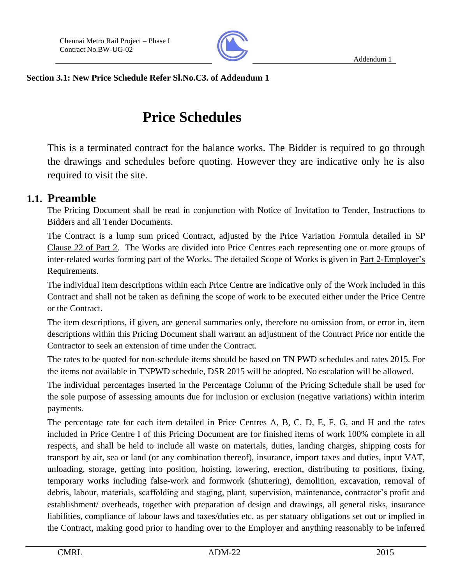

**Section 3.1: New Price Schedule Refer Sl.No.C3. of Addendum 1**

# **Price Schedules**

This is a terminated contract for the balance works. The Bidder is required to go through the drawings and schedules before quoting. However they are indicative only he is also required to visit the site.

## **1.1. Preamble**

The Pricing Document shall be read in conjunction with Notice of Invitation to Tender, Instructions to Bidders and all Tender Documents.

The Contract is a lump sum priced Contract, adjusted by the Price Variation Formula detailed in SP Clause 22 of Part 2. The Works are divided into Price Centres each representing one or more groups of inter-related works forming part of the Works. The detailed Scope of Works is given in Part 2-Employer's Requirements.

The individual item descriptions within each Price Centre are indicative only of the Work included in this Contract and shall not be taken as defining the scope of work to be executed either under the Price Centre or the Contract.

The item descriptions, if given, are general summaries only, therefore no omission from, or error in, item descriptions within this Pricing Document shall warrant an adjustment of the Contract Price nor entitle the Contractor to seek an extension of time under the Contract.

The rates to be quoted for non-schedule items should be based on TN PWD schedules and rates 2015. For the items not available in TNPWD schedule, DSR 2015 will be adopted. No escalation will be allowed.

The individual percentages inserted in the Percentage Column of the Pricing Schedule shall be used for the sole purpose of assessing amounts due for inclusion or exclusion (negative variations) within interim payments.

The percentage rate for each item detailed in Price Centres A, B, C, D, E, F, G, and H and the rates included in Price Centre I of this Pricing Document are for finished items of work 100% complete in all respects, and shall be held to include all waste on materials, duties, landing charges, shipping costs for transport by air, sea or land (or any combination thereof), insurance, import taxes and duties, input VAT, unloading, storage, getting into position, hoisting, lowering, erection, distributing to positions, fixing, temporary works including false-work and formwork (shuttering), demolition, excavation, removal of debris, labour, materials, scaffolding and staging, plant, supervision, maintenance, contractor's profit and establishment/ overheads, together with preparation of design and drawings, all general risks, insurance liabilities, compliance of labour laws and taxes/duties etc. as per statuary obligations set out or implied in the Contract, making good prior to handing over to the Employer and anything reasonably to be inferred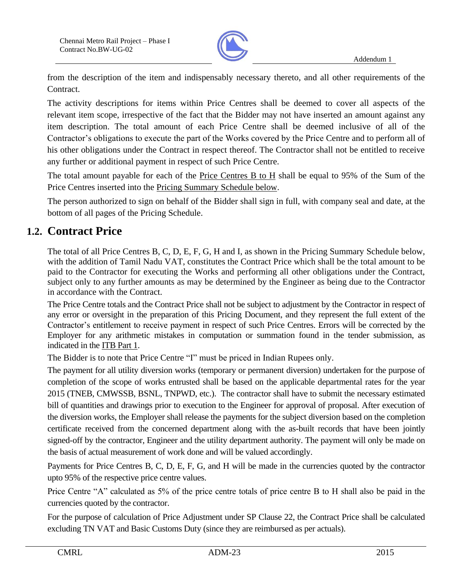

from the description of the item and indispensably necessary thereto, and all other requirements of the Contract.

The activity descriptions for items within Price Centres shall be deemed to cover all aspects of the relevant item scope, irrespective of the fact that the Bidder may not have inserted an amount against any item description. The total amount of each Price Centre shall be deemed inclusive of all of the Contractor's obligations to execute the part of the Works covered by the Price Centre and to perform all of his other obligations under the Contract in respect thereof. The Contractor shall not be entitled to receive any further or additional payment in respect of such Price Centre.

The total amount payable for each of the Price Centres B to H shall be equal to 95% of the Sum of the Price Centres inserted into the Pricing Summary Schedule below.

The person authorized to sign on behalf of the Bidder shall sign in full, with company seal and date, at the bottom of all pages of the Pricing Schedule.

## **1.2. Contract Price**

The total of all Price Centres B, C, D, E, F, G, H and I, as shown in the Pricing Summary Schedule below, with the addition of Tamil Nadu VAT, constitutes the Contract Price which shall be the total amount to be paid to the Contractor for executing the Works and performing all other obligations under the Contract, subject only to any further amounts as may be determined by the Engineer as being due to the Contractor in accordance with the Contract.

The Price Centre totals and the Contract Price shall not be subject to adjustment by the Contractor in respect of any error or oversight in the preparation of this Pricing Document, and they represent the full extent of the Contractor's entitlement to receive payment in respect of such Price Centres. Errors will be corrected by the Employer for any arithmetic mistakes in computation or summation found in the tender submission, as indicated in the ITB Part 1.

The Bidder is to note that Price Centre "I" must be priced in Indian Rupees only.

The payment for all utility diversion works (temporary or permanent diversion) undertaken for the purpose of completion of the scope of works entrusted shall be based on the applicable departmental rates for the year 2015 (TNEB, CMWSSB, BSNL, TNPWD, etc.). The contractor shall have to submit the necessary estimated bill of quantities and drawings prior to execution to the Engineer for approval of proposal. After execution of the diversion works, the Employer shall release the payments for the subject diversion based on the completion certificate received from the concerned department along with the as-built records that have been jointly signed-off by the contractor, Engineer and the utility department authority. The payment will only be made on the basis of actual measurement of work done and will be valued accordingly.

Payments for Price Centres B, C, D, E, F, G, and H will be made in the currencies quoted by the contractor upto 95% of the respective price centre values.

Price Centre "A" calculated as 5% of the price centre totals of price centre B to H shall also be paid in the currencies quoted by the contractor.

For the purpose of calculation of Price Adjustment under SP Clause 22, the Contract Price shall be calculated excluding TN VAT and Basic Customs Duty (since they are reimbursed as per actuals).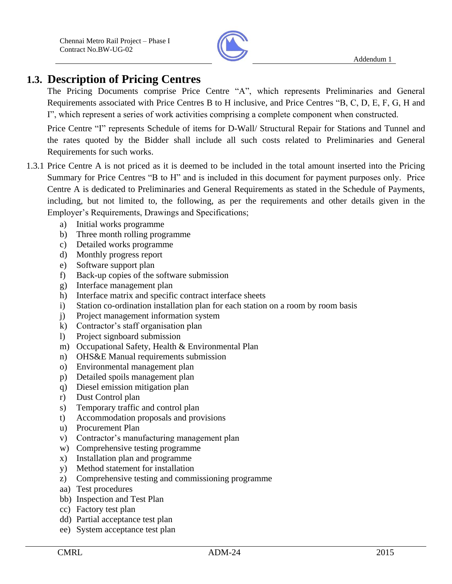

## **1.3. Description of Pricing Centres**

The Pricing Documents comprise Price Centre "A", which represents Preliminaries and General Requirements associated with Price Centres B to H inclusive, and Price Centres "B, C, D, E, F, G, H and I", which represent a series of work activities comprising a complete component when constructed.

Price Centre "I" represents Schedule of items for D-Wall/ Structural Repair for Stations and Tunnel and the rates quoted by the Bidder shall include all such costs related to Preliminaries and General Requirements for such works.

- 1.3.1 Price Centre A is not priced as it is deemed to be included in the total amount inserted into the Pricing Summary for Price Centres "B to H" and is included in this document for payment purposes only. Price Centre A is dedicated to Preliminaries and General Requirements as stated in the Schedule of Payments, including, but not limited to, the following, as per the requirements and other details given in the Employer's Requirements, Drawings and Specifications;
	- a) Initial works programme
	- b) Three month rolling programme
	- c) Detailed works programme
	- d) Monthly progress report
	- e) Software support plan
	- f) Back-up copies of the software submission
	- g) Interface management plan
	- h) Interface matrix and specific contract interface sheets
	- i) Station co-ordination installation plan for each station on a room by room basis
	- j) Project management information system
	- k) Contractor's staff organisation plan
	- l) Project signboard submission
	- m) Occupational Safety, Health & Environmental Plan
	- n) OHS&E Manual requirements submission
	- o) Environmental management plan
	- p) Detailed spoils management plan
	- q) Diesel emission mitigation plan
	- r) Dust Control plan
	- s) Temporary traffic and control plan
	- t) Accommodation proposals and provisions
	- u) Procurement Plan
	- v) Contractor's manufacturing management plan
	- w) Comprehensive testing programme
	- x) Installation plan and programme
	- y) Method statement for installation
	- z) Comprehensive testing and commissioning programme
	- aa) Test procedures
	- bb) Inspection and Test Plan
	- cc) Factory test plan
	- dd) Partial acceptance test plan
	- ee) System acceptance test plan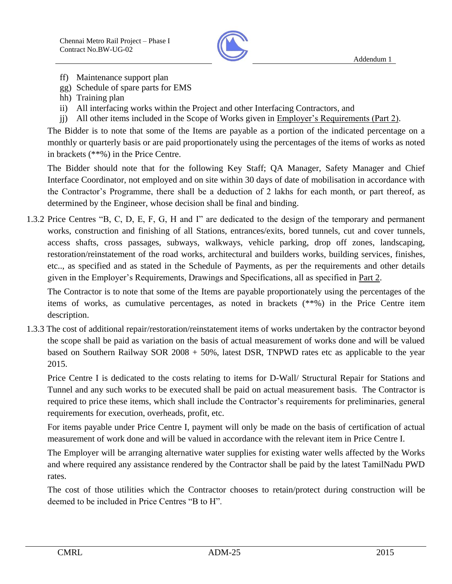

- ff) Maintenance support plan
- gg) Schedule of spare parts for EMS
- hh) Training plan
- ii) All interfacing works within the Project and other Interfacing Contractors, and
- jj) All other items included in the Scope of Works given in Employer's Requirements (Part 2).

The Bidder is to note that some of the Items are payable as a portion of the indicated percentage on a monthly or quarterly basis or are paid proportionately using the percentages of the items of works as noted in brackets (\*\*%) in the Price Centre.

The Bidder should note that for the following Key Staff; QA Manager, Safety Manager and Chief Interface Coordinator, not employed and on site within 30 days of date of mobilisation in accordance with the Contractor's Programme, there shall be a deduction of 2 lakhs for each month, or part thereof, as determined by the Engineer, whose decision shall be final and binding.

1.3.2 Price Centres "B, C, D, E, F, G, H and I" are dedicated to the design of the temporary and permanent works, construction and finishing of all Stations, entrances/exits, bored tunnels, cut and cover tunnels, access shafts, cross passages, subways, walkways, vehicle parking, drop off zones, landscaping, restoration/reinstatement of the road works, architectural and builders works, building services, finishes, etc.., as specified and as stated in the Schedule of Payments, as per the requirements and other details given in the Employer's Requirements, Drawings and Specifications, all as specified in Part 2.

The Contractor is to note that some of the Items are payable proportionately using the percentages of the items of works, as cumulative percentages, as noted in brackets (\*\*%) in the Price Centre item description.

1.3.3 The cost of additional repair/restoration/reinstatement items of works undertaken by the contractor beyond the scope shall be paid as variation on the basis of actual measurement of works done and will be valued based on Southern Railway SOR 2008 + 50%, latest DSR, TNPWD rates etc as applicable to the year 2015.

Price Centre I is dedicated to the costs relating to items for D-Wall/ Structural Repair for Stations and Tunnel and any such works to be executed shall be paid on actual measurement basis. The Contractor is required to price these items, which shall include the Contractor's requirements for preliminaries, general requirements for execution, overheads, profit, etc.

For items payable under Price Centre I, payment will only be made on the basis of certification of actual measurement of work done and will be valued in accordance with the relevant item in Price Centre I.

The Employer will be arranging alternative water supplies for existing water wells affected by the Works and where required any assistance rendered by the Contractor shall be paid by the latest TamilNadu PWD rates.

The cost of those utilities which the Contractor chooses to retain/protect during construction will be deemed to be included in Price Centres "B to H".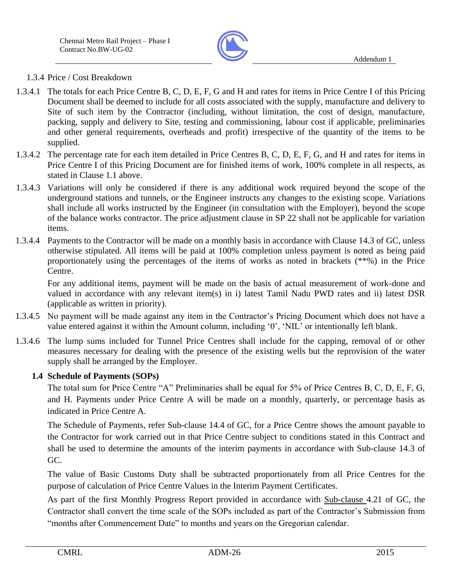

### 1.3.4 Price / Cost Breakdown

- 1.3.4.1 The totals for each Price Centre B, C, D, E, F, G and H and rates for items in Price Centre I of this Pricing Document shall be deemed to include for all costs associated with the supply, manufacture and delivery to Site of such item by the Contractor (including, without limitation, the cost of design, manufacture, packing, supply and delivery to Site, testing and commissioning, labour cost if applicable, preliminaries and other general requirements, overheads and profit) irrespective of the quantity of the items to be supplied.
- 1.3.4.2 The percentage rate for each item detailed in Price Centres B, C, D, E, F, G, and H and rates for items in Price Centre I of this Pricing Document are for finished items of work, 100% complete in all respects, as stated in Clause 1.1 above.
- 1.3.4.3 Variations will only be considered if there is any additional work required beyond the scope of the underground stations and tunnels, or the Engineer instructs any changes to the existing scope. Variations shall include all works instructed by the Engineer (in consultation with the Employer), beyond the scope of the balance works contractor. The price adjustment clause in SP 22 shall not be applicable for variation items.
- 1.3.4.4 Payments to the Contractor will be made on a monthly basis in accordance with Clause 14.3 of GC, unless otherwise stipulated. All items will be paid at 100% completion unless payment is noted as being paid proportionately using the percentages of the items of works as noted in brackets (\*\*%) in the Price Centre.

For any additional items, payment will be made on the basis of actual measurement of work-done and valued in accordance with any relevant item(s) in i) latest Tamil Nadu PWD rates and ii) latest DSR (applicable as written in priority).

- 1.3.4.5 No payment will be made against any item in the Contractor's Pricing Document which does not have a value entered against it within the Amount column, including '0', 'NIL' or intentionally left blank.
- 1.3.4.6 The lump sums included for Tunnel Price Centres shall include for the capping, removal of or other measures necessary for dealing with the presence of the existing wells but the reprovision of the water supply shall be arranged by the Employer.

## **1.4 Schedule of Payments (SOPs)**

The total sum for Price Centre "A" Preliminaries shall be equal for 5% of Price Centres B, C, D, E, F, G, and H. Payments under Price Centre A will be made on a monthly, quarterly, or percentage basis as indicated in Price Centre A.

The Schedule of Payments, refer Sub-clause 14.4 of GC, for a Price Centre shows the amount payable to the Contractor for work carried out in that Price Centre subject to conditions stated in this Contract and shall be used to determine the amounts of the interim payments in accordance with Sub-clause 14.3 of GC.

The value of Basic Customs Duty shall be subtracted proportionately from all Price Centres for the purpose of calculation of Price Centre Values in the Interim Payment Certificates.

As part of the first Monthly Progress Report provided in accordance with Sub-clause 4.21 of GC, the Contractor shall convert the time scale of the SOPs included as part of the Contractor's Submission from "months after Commencement Date" to months and years on the Gregorian calendar.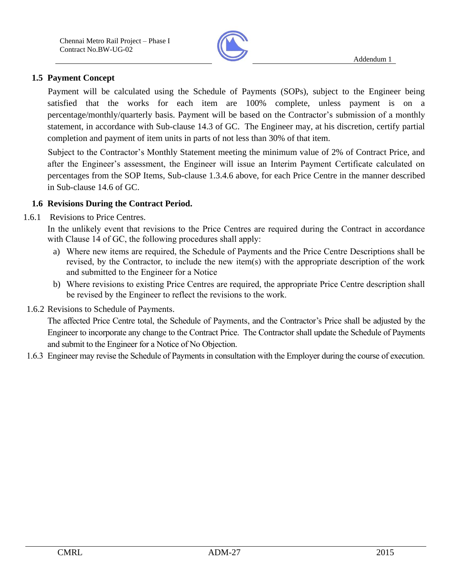

## **1.5 Payment Concept**

Payment will be calculated using the Schedule of Payments (SOPs), subject to the Engineer being satisfied that the works for each item are 100% complete, unless payment is on a percentage/monthly/quarterly basis. Payment will be based on the Contractor's submission of a monthly statement, in accordance with Sub-clause 14.3 of GC. The Engineer may, at his discretion, certify partial completion and payment of item units in parts of not less than 30% of that item.

Subject to the Contractor's Monthly Statement meeting the minimum value of 2% of Contract Price, and after the Engineer's assessment, the Engineer will issue an Interim Payment Certificate calculated on percentages from the SOP Items, Sub-clause 1.3.4.6 above, for each Price Centre in the manner described in Sub-clause 14.6 of GC.

### **1.6 Revisions During the Contract Period.**

1.6.1 Revisions to Price Centres.

In the unlikely event that revisions to the Price Centres are required during the Contract in accordance with Clause 14 of GC, the following procedures shall apply:

- a) Where new items are required, the Schedule of Payments and the Price Centre Descriptions shall be revised, by the Contractor, to include the new item(s) with the appropriate description of the work and submitted to the Engineer for a Notice
- b) Where revisions to existing Price Centres are required, the appropriate Price Centre description shall be revised by the Engineer to reflect the revisions to the work.
- 1.6.2 Revisions to Schedule of Payments.

The affected Price Centre total, the Schedule of Payments, and the Contractor's Price shall be adjusted by the Engineer to incorporate any change to the Contract Price. The Contractor shall update the Schedule of Payments and submit to the Engineer for a Notice of No Objection.

1.6.3 Engineer may revise the Schedule of Payments in consultation with the Employer during the course of execution.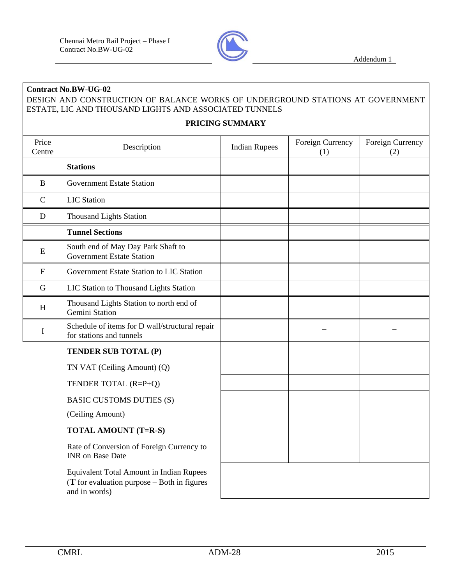

### **Contract No.BW-UG-02** DESIGN AND CONSTRUCTION OF BALANCE WORKS OF UNDERGROUND STATIONS AT GOVERNMENT ESTATE, LIC AND THOUSAND LIGHTS AND ASSOCIATED TUNNELS

#### **PRICING SUMMARY**

| Price<br>Centre           | Description                                                                                                         | <b>Indian Rupees</b> | Foreign Currency<br>(1) | Foreign Currency<br>(2) |
|---------------------------|---------------------------------------------------------------------------------------------------------------------|----------------------|-------------------------|-------------------------|
|                           | <b>Stations</b>                                                                                                     |                      |                         |                         |
| $\bf{B}$                  | <b>Government Estate Station</b>                                                                                    |                      |                         |                         |
| $\mathbf C$               | <b>LIC</b> Station                                                                                                  |                      |                         |                         |
| D                         | <b>Thousand Lights Station</b>                                                                                      |                      |                         |                         |
|                           | <b>Tunnel Sections</b>                                                                                              |                      |                         |                         |
| E                         | South end of May Day Park Shaft to<br><b>Government Estate Station</b>                                              |                      |                         |                         |
| $\mathbf F$               | Government Estate Station to LIC Station                                                                            |                      |                         |                         |
| $\mathbf G$               | LIC Station to Thousand Lights Station                                                                              |                      |                         |                         |
| $\boldsymbol{\mathrm{H}}$ | Thousand Lights Station to north end of<br>Gemini Station                                                           |                      |                         |                         |
| $\bf{I}$                  | Schedule of items for D wall/structural repair<br>for stations and tunnels                                          |                      |                         |                         |
|                           | TENDER SUB TOTAL (P)                                                                                                |                      |                         |                         |
|                           | TN VAT (Ceiling Amount) (Q)                                                                                         |                      |                         |                         |
|                           | TENDER TOTAL (R=P+Q)                                                                                                |                      |                         |                         |
|                           | <b>BASIC CUSTOMS DUTIES (S)</b>                                                                                     |                      |                         |                         |
|                           | (Ceiling Amount)                                                                                                    |                      |                         |                         |
|                           | <b>TOTAL AMOUNT (T=R-S)</b>                                                                                         |                      |                         |                         |
|                           | Rate of Conversion of Foreign Currency to<br><b>INR</b> on Base Date                                                |                      |                         |                         |
|                           | <b>Equivalent Total Amount in Indian Rupees</b><br>$(T$ for evaluation purpose $-$ Both in figures<br>and in words) |                      |                         |                         |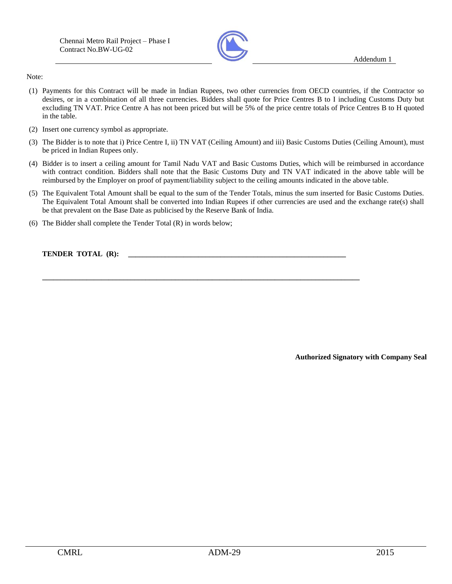

Note:

- (1) Payments for this Contract will be made in Indian Rupees, two other currencies from OECD countries, if the Contractor so desires, or in a combination of all three currencies. Bidders shall quote for Price Centres B to I including Customs Duty but excluding TN VAT. Price Centre A has not been priced but will be 5% of the price centre totals of Price Centres B to H quoted in the table.
- (2) Insert one currency symbol as appropriate.
- (3) The Bidder is to note that i) Price Centre I, ii) TN VAT (Ceiling Amount) and iii) Basic Customs Duties (Ceiling Amount), must be priced in Indian Rupees only.
- (4) Bidder is to insert a ceiling amount for Tamil Nadu VAT and Basic Customs Duties, which will be reimbursed in accordance with contract condition. Bidders shall note that the Basic Customs Duty and TN VAT indicated in the above table will be reimbursed by the Employer on proof of payment/liability subject to the ceiling amounts indicated in the above table.
- (5) The Equivalent Total Amount shall be equal to the sum of the Tender Totals, minus the sum inserted for Basic Customs Duties. The Equivalent Total Amount shall be converted into Indian Rupees if other currencies are used and the exchange rate(s) shall be that prevalent on the Base Date as publicised by the Reserve Bank of India.

**\_\_\_\_\_\_\_\_\_\_\_\_\_\_\_\_\_\_\_\_\_\_\_\_\_\_\_\_\_\_\_\_\_\_\_\_\_\_\_\_\_\_\_\_\_\_\_\_\_\_\_\_\_\_\_\_\_\_\_\_\_\_\_\_\_\_\_\_\_\_\_\_\_\_\_\_\_\_\_\_\_\_\_\_\_\_** 

(6) The Bidder shall complete the Tender Total (R) in words below;

**TENDER TOTAL (R):** 

**Authorized Signatory with Company Seal**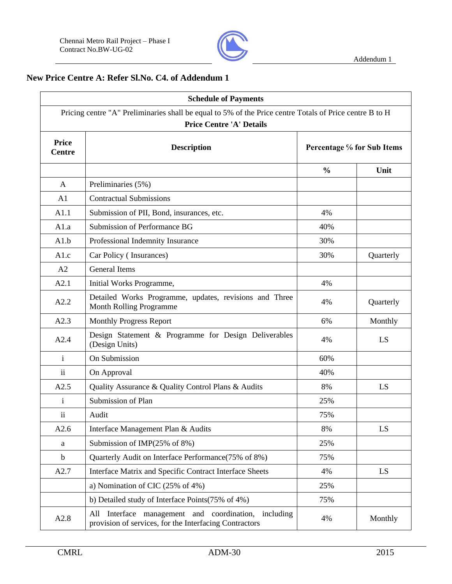

## **New Price Centre A: Refer Sl.No. C4. of Addendum 1**

| <b>Schedule of Payments</b><br>Pricing centre "A" Preliminaries shall be equal to 5% of the Price centre Totals of Price centre B to H<br><b>Price Centre 'A' Details</b> |                                                                                                                   |               |           |  |  |  |  |
|---------------------------------------------------------------------------------------------------------------------------------------------------------------------------|-------------------------------------------------------------------------------------------------------------------|---------------|-----------|--|--|--|--|
|                                                                                                                                                                           |                                                                                                                   |               |           |  |  |  |  |
|                                                                                                                                                                           |                                                                                                                   | $\frac{0}{0}$ | Unit      |  |  |  |  |
| A                                                                                                                                                                         | Preliminaries (5%)                                                                                                |               |           |  |  |  |  |
| A1                                                                                                                                                                        | <b>Contractual Submissions</b>                                                                                    |               |           |  |  |  |  |
| A1.1                                                                                                                                                                      | Submission of PII, Bond, insurances, etc.                                                                         | 4%            |           |  |  |  |  |
| A1.a                                                                                                                                                                      | Submission of Performance BG                                                                                      | 40%           |           |  |  |  |  |
| A1.b                                                                                                                                                                      | Professional Indemnity Insurance                                                                                  | 30%           |           |  |  |  |  |
| A1.c                                                                                                                                                                      | Car Policy (Insurances)                                                                                           | 30%           | Quarterly |  |  |  |  |
| A2                                                                                                                                                                        | <b>General Items</b>                                                                                              |               |           |  |  |  |  |
| A2.1                                                                                                                                                                      | Initial Works Programme,                                                                                          | 4%            |           |  |  |  |  |
| A2.2                                                                                                                                                                      | Detailed Works Programme, updates, revisions and Three<br><b>Month Rolling Programme</b>                          | 4%            | Quarterly |  |  |  |  |
| A2.3                                                                                                                                                                      | <b>Monthly Progress Report</b>                                                                                    | 6%            | Monthly   |  |  |  |  |
| A2.4                                                                                                                                                                      | Design Statement & Programme for Design Deliverables<br>(Design Units)                                            | 4%            | LS        |  |  |  |  |
| $\mathbf{i}$                                                                                                                                                              | On Submission                                                                                                     | 60%           |           |  |  |  |  |
| $\overline{\mathbf{u}}$                                                                                                                                                   | On Approval                                                                                                       | 40%           |           |  |  |  |  |
| A2.5                                                                                                                                                                      | Quality Assurance & Quality Control Plans & Audits                                                                | 8%            | LS        |  |  |  |  |
| i.                                                                                                                                                                        | Submission of Plan                                                                                                | 25%           |           |  |  |  |  |
| $\ddot{\mathbf{i}}$                                                                                                                                                       | Audit                                                                                                             | 75%           |           |  |  |  |  |
| A2.6                                                                                                                                                                      | Interface Management Plan & Audits                                                                                | 8%            | LS        |  |  |  |  |
| a                                                                                                                                                                         | Submission of IMP(25% of 8%)                                                                                      | 25%           |           |  |  |  |  |
| $\mathbf b$                                                                                                                                                               | Quarterly Audit on Interface Performance(75% of 8%)                                                               | 75%           |           |  |  |  |  |
| A2.7                                                                                                                                                                      | Interface Matrix and Specific Contract Interface Sheets                                                           | 4%            | LS        |  |  |  |  |
|                                                                                                                                                                           | a) Nomination of CIC $(25\% \text{ of } 4\%)$                                                                     | 25%           |           |  |  |  |  |
|                                                                                                                                                                           | b) Detailed study of Interface Points(75% of 4%)                                                                  | 75%           |           |  |  |  |  |
| A2.8                                                                                                                                                                      | Interface management and coordination, including<br>All<br>provision of services, for the Interfacing Contractors | 4%            | Monthly   |  |  |  |  |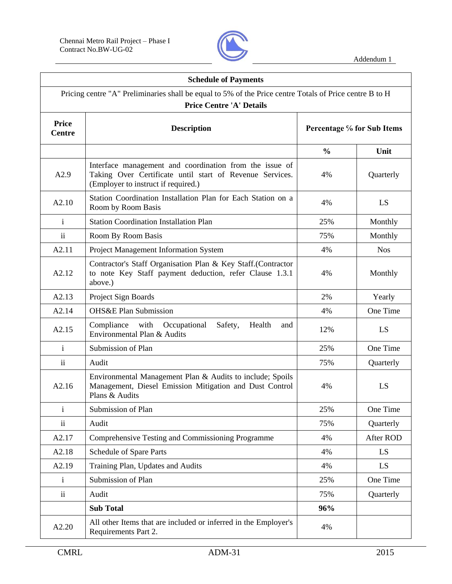

| <b>Schedule of Payments</b>   |                                                                                                                                                            |                            |            |  |  |  |  |  |
|-------------------------------|------------------------------------------------------------------------------------------------------------------------------------------------------------|----------------------------|------------|--|--|--|--|--|
|                               | Pricing centre "A" Preliminaries shall be equal to 5% of the Price centre Totals of Price centre B to H<br><b>Price Centre 'A' Details</b>                 |                            |            |  |  |  |  |  |
| <b>Price</b><br><b>Centre</b> | <b>Description</b>                                                                                                                                         | Percentage % for Sub Items |            |  |  |  |  |  |
|                               |                                                                                                                                                            | $\frac{0}{0}$              | Unit       |  |  |  |  |  |
| A2.9                          | Interface management and coordination from the issue of<br>Taking Over Certificate until start of Revenue Services.<br>(Employer to instruct if required.) | 4%                         | Quarterly  |  |  |  |  |  |
| A2.10                         | Station Coordination Installation Plan for Each Station on a<br>Room by Room Basis                                                                         | 4%                         | LS.        |  |  |  |  |  |
| $\mathbf{i}$                  | <b>Station Coordination Installation Plan</b>                                                                                                              | 25%                        | Monthly    |  |  |  |  |  |
| $\overline{\mathbf{ii}}$      | Room By Room Basis                                                                                                                                         | 75%                        | Monthly    |  |  |  |  |  |
| A2.11                         | Project Management Information System                                                                                                                      | 4%                         | <b>Nos</b> |  |  |  |  |  |
| A2.12                         | Contractor's Staff Organisation Plan & Key Staff.(Contractor<br>to note Key Staff payment deduction, refer Clause 1.3.1<br>above.)                         | 4%                         | Monthly    |  |  |  |  |  |
| A2.13                         | Project Sign Boards                                                                                                                                        | 2%                         | Yearly     |  |  |  |  |  |
| A2.14                         | <b>OHS&amp;E Plan Submission</b>                                                                                                                           | 4%                         | One Time   |  |  |  |  |  |
| A2.15                         | Occupational<br>Compliance<br>with<br>Safety,<br>Health<br>and<br>Environmental Plan & Audits                                                              | 12%                        | LS         |  |  |  |  |  |
| $\mathbf{i}$                  | Submission of Plan                                                                                                                                         | 25%                        | One Time   |  |  |  |  |  |
| $\ddot{\rm ii}$               | Audit                                                                                                                                                      | 75%                        | Quarterly  |  |  |  |  |  |
| A2.16                         | Environmental Management Plan & Audits to include; Spoils<br>Management, Diesel Emission Mitigation and Dust Control<br>Plans & Audits                     | 4%                         | LS         |  |  |  |  |  |
| $\mathbf{i}$                  | Submission of Plan                                                                                                                                         | 25%                        | One Time   |  |  |  |  |  |
| $\ddot{\rm ii}$               | Audit                                                                                                                                                      | 75%                        | Quarterly  |  |  |  |  |  |
| A2.17                         | Comprehensive Testing and Commissioning Programme                                                                                                          | 4%                         | After ROD  |  |  |  |  |  |
| A2.18                         | Schedule of Spare Parts                                                                                                                                    | 4%                         | LS         |  |  |  |  |  |
| A2.19                         | Training Plan, Updates and Audits                                                                                                                          | 4%                         | LS         |  |  |  |  |  |
| $\mathbf{i}$                  | Submission of Plan                                                                                                                                         | 25%                        | One Time   |  |  |  |  |  |
| $\mathbf{ii}$                 | Audit                                                                                                                                                      | 75%                        | Quarterly  |  |  |  |  |  |
|                               | <b>Sub Total</b>                                                                                                                                           | 96%                        |            |  |  |  |  |  |
| A2.20                         | All other Items that are included or inferred in the Employer's<br>Requirements Part 2.                                                                    | 4%                         |            |  |  |  |  |  |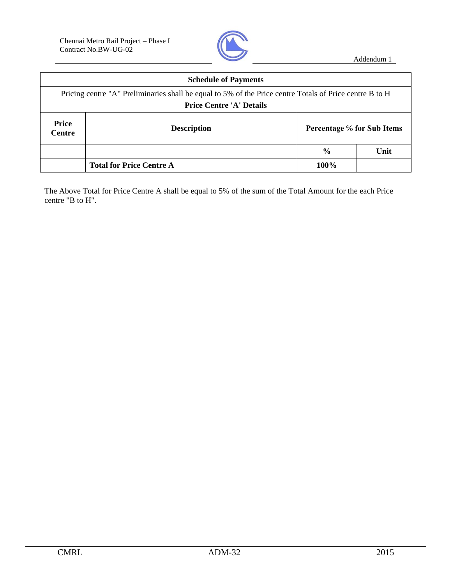

|                               | <b>Schedule of Payments</b>                                                                                                                |                            |      |  |  |  |
|-------------------------------|--------------------------------------------------------------------------------------------------------------------------------------------|----------------------------|------|--|--|--|
|                               | Pricing centre "A" Preliminaries shall be equal to 5% of the Price centre Totals of Price centre B to H<br><b>Price Centre 'A' Details</b> |                            |      |  |  |  |
|                               |                                                                                                                                            |                            |      |  |  |  |
| <b>Price</b><br><b>Centre</b> | <b>Description</b>                                                                                                                         | Percentage % for Sub Items |      |  |  |  |
|                               |                                                                                                                                            | $\frac{0}{0}$              | Unit |  |  |  |
|                               | <b>Total for Price Centre A</b>                                                                                                            | 100%                       |      |  |  |  |

The Above Total for Price Centre A shall be equal to 5% of the sum of the Total Amount for the each Price centre "B to H".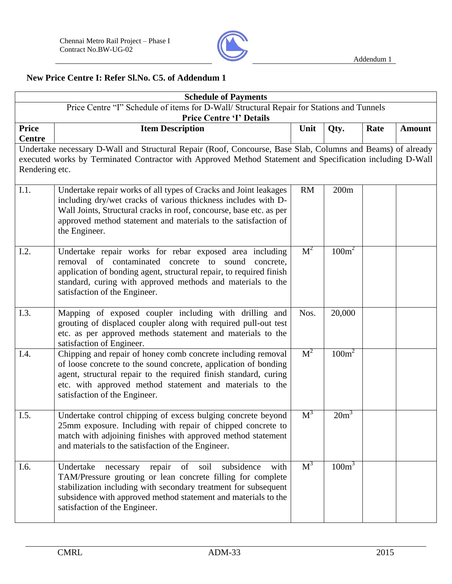

## **New Price Centre I: Refer Sl.No. C5. of Addendum 1**

|                               | <b>Schedule of Payments</b>                                                                                                                                                                                                                                                                               |                |                   |  |  |  |  |  |
|-------------------------------|-----------------------------------------------------------------------------------------------------------------------------------------------------------------------------------------------------------------------------------------------------------------------------------------------------------|----------------|-------------------|--|--|--|--|--|
|                               | Price Centre "I" Schedule of items for D-Wall/ Structural Repair for Stations and Tunnels<br><b>Price Centre 'I' Details</b>                                                                                                                                                                              |                |                   |  |  |  |  |  |
| <b>Price</b><br><b>Centre</b> | <b>Item Description</b><br>Unit<br>Rate<br>Qty.<br><b>Amount</b>                                                                                                                                                                                                                                          |                |                   |  |  |  |  |  |
| Rendering etc.                | Undertake necessary D-Wall and Structural Repair (Roof, Concourse, Base Slab, Columns and Beams) of already<br>executed works by Terminated Contractor with Approved Method Statement and Specification including D-Wall                                                                                  |                |                   |  |  |  |  |  |
| I.1.                          | Undertake repair works of all types of Cracks and Joint leakages<br>including dry/wet cracks of various thickness includes with D-<br>Wall Joints, Structural cracks in roof, concourse, base etc. as per<br>approved method statement and materials to the satisfaction of<br>the Engineer.              | <b>RM</b>      | 200m              |  |  |  |  |  |
| I.2.                          | Undertake repair works for rebar exposed area including<br>removal of contaminated concrete to sound concrete,<br>application of bonding agent, structural repair, to required finish<br>standard, curing with approved methods and materials to the<br>satisfaction of the Engineer.                     | M <sup>2</sup> | $100m^2$          |  |  |  |  |  |
| I.3.                          | Mapping of exposed coupler including with drilling and<br>grouting of displaced coupler along with required pull-out test<br>etc. as per approved methods statement and materials to the<br>satisfaction of Engineer.                                                                                     | Nos.           | 20,000            |  |  |  |  |  |
| I.4.                          | Chipping and repair of honey comb concrete including removal<br>of loose concrete to the sound concrete, application of bonding<br>agent, structural repair to the required finish standard, curing<br>etc. with approved method statement and materials to the<br>satisfaction of the Engineer.          | M <sup>2</sup> | 100m <sup>2</sup> |  |  |  |  |  |
| I.5.                          | Undertake control chipping of excess bulging concrete beyond<br>25mm exposure. Including with repair of chipped concrete to<br>match with adjoining finishes with approved method statement<br>and materials to the satisfaction of the Engineer.                                                         | M <sup>3</sup> | $20m^3$           |  |  |  |  |  |
| I.6.                          | Undertake<br>of<br>subsidence<br>repair<br>soil<br>with<br>necessary<br>TAM/Pressure grouting or lean concrete filling for complete<br>stabilization including with secondary treatment for subsequent<br>subsidence with approved method statement and materials to the<br>satisfaction of the Engineer. | $M^3$          | 100m <sup>3</sup> |  |  |  |  |  |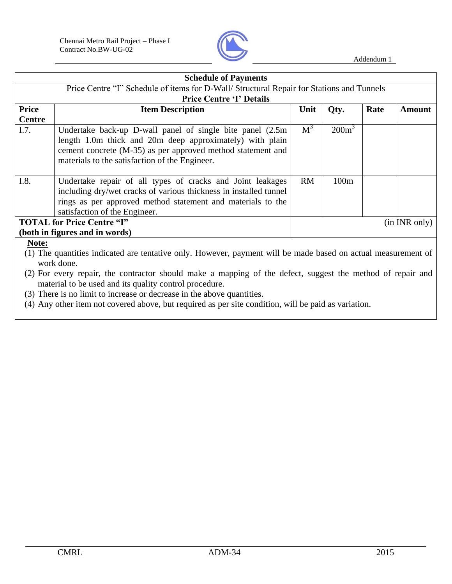

| <b>Schedule of Payments</b>                                                               |                                                                                                                                                                                                                                                                                                     |           |                   |      |               |
|-------------------------------------------------------------------------------------------|-----------------------------------------------------------------------------------------------------------------------------------------------------------------------------------------------------------------------------------------------------------------------------------------------------|-----------|-------------------|------|---------------|
| Price Centre "I" Schedule of items for D-Wall/ Structural Repair for Stations and Tunnels |                                                                                                                                                                                                                                                                                                     |           |                   |      |               |
|                                                                                           | <b>Price Centre 'I' Details</b>                                                                                                                                                                                                                                                                     |           |                   |      |               |
| <b>Price</b>                                                                              | <b>Item Description</b>                                                                                                                                                                                                                                                                             | Unit      | Qty.              | Rate | <b>Amount</b> |
| <b>Centre</b>                                                                             |                                                                                                                                                                                                                                                                                                     |           |                   |      |               |
| I.7.                                                                                      | Undertake back-up D-wall panel of single bite panel (2.5m)<br>length 1.0m thick and 20m deep approximately) with plain<br>cement concrete (M-35) as per approved method statement and<br>materials to the satisfaction of the Engineer.                                                             | $M^3$     | 200m <sup>3</sup> |      |               |
| I.8.                                                                                      | Undertake repair of all types of cracks and Joint leakages<br>including dry/wet cracks of various thickness in installed tunnel<br>rings as per approved method statement and materials to the<br>satisfaction of the Engineer.                                                                     | <b>RM</b> | 100m              |      |               |
|                                                                                           | <b>TOTAL for Price Centre "I"</b>                                                                                                                                                                                                                                                                   |           |                   |      | (in INR only) |
|                                                                                           | (both in figures and in words)                                                                                                                                                                                                                                                                      |           |                   |      |               |
| Note:                                                                                     | (1) The quantities indicated are tentative only. However, payment will be made based on actual measurement of<br>work done.<br>(2) For every repair, the contractor should make a mapping of the defect, suggest the method of repair and<br>material to be used and its quality control procedure. |           |                   |      |               |
| (3) There is no limit to increase or decrease in the above quantities.                    |                                                                                                                                                                                                                                                                                                     |           |                   |      |               |

(4) Any other item not covered above, but required as per site condition, will be paid as variation.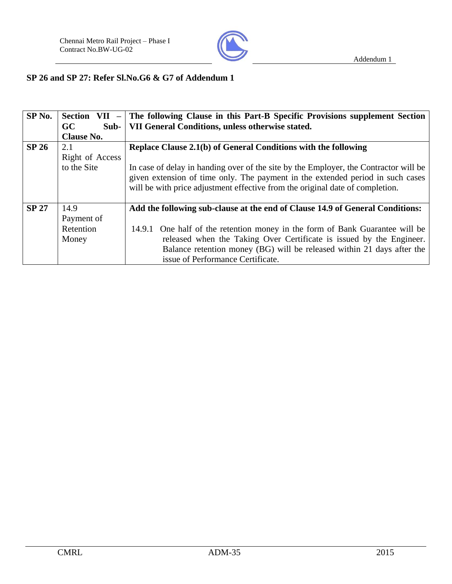

## **SP 26 and SP 27: Refer Sl.No.G6 & G7 of Addendum 1**

| SP <sub>No.</sub> |                     | Section VII $-$ The following Clause in this Part-B Specific Provisions supplement Section                                                                                                                                                              |
|-------------------|---------------------|---------------------------------------------------------------------------------------------------------------------------------------------------------------------------------------------------------------------------------------------------------|
|                   | <b>GC</b><br>$Sub-$ | VII General Conditions, unless otherwise stated.                                                                                                                                                                                                        |
|                   | <b>Clause No.</b>   |                                                                                                                                                                                                                                                         |
| <b>SP 26</b>      | 2.1                 | Replace Clause 2.1(b) of General Conditions with the following                                                                                                                                                                                          |
|                   | Right of Access     |                                                                                                                                                                                                                                                         |
|                   | to the Site         | In case of delay in handing over of the site by the Employer, the Contractor will be<br>given extension of time only. The payment in the extended period in such cases<br>will be with price adjustment effective from the original date of completion. |
| <b>SP 27</b>      | 14.9                | Add the following sub-clause at the end of Clause 14.9 of General Conditions:                                                                                                                                                                           |
|                   | Payment of          |                                                                                                                                                                                                                                                         |
|                   | Retention           | 14.9.1 One half of the retention money in the form of Bank Guarantee will be                                                                                                                                                                            |
|                   | Money               | released when the Taking Over Certificate is issued by the Engineer.                                                                                                                                                                                    |
|                   |                     | Balance retention money (BG) will be released within 21 days after the                                                                                                                                                                                  |
|                   |                     | issue of Performance Certificate.                                                                                                                                                                                                                       |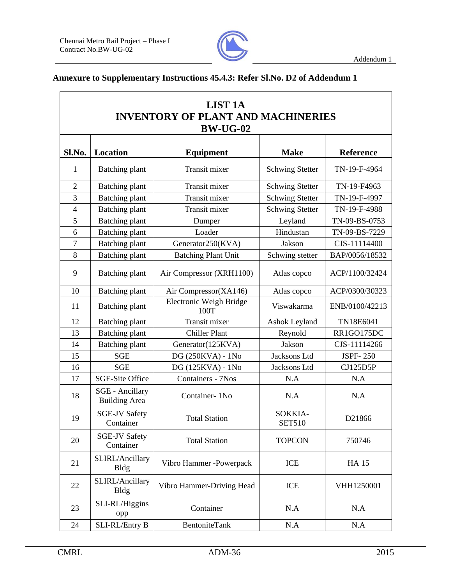

 $\overline{\phantom{a}}$ 

## **Annexure to Supplementary Instructions 45.4.3: Refer Sl.No. D2 of Addendum 1**

| <b>LIST 1A</b><br><b>INVENTORY OF PLANT AND MACHINERIES</b><br><b>BW-UG-02</b> |                                                |                                 |                          |                  |  |
|--------------------------------------------------------------------------------|------------------------------------------------|---------------------------------|--------------------------|------------------|--|
| Sl.No.                                                                         | <b>Location</b>                                | <b>Equipment</b>                | <b>Make</b>              | <b>Reference</b> |  |
| $\mathbf{1}$                                                                   | <b>Batching plant</b>                          | <b>Transit mixer</b>            | <b>Schwing Stetter</b>   | TN-19-F-4964     |  |
| $\overline{2}$                                                                 | Batching plant                                 | Transit mixer                   | <b>Schwing Stetter</b>   | TN-19-F4963      |  |
| 3                                                                              | <b>Batching plant</b>                          | Transit mixer                   | <b>Schwing Stetter</b>   | TN-19-F-4997     |  |
| $\overline{4}$                                                                 | Batching plant                                 | Transit mixer                   | <b>Schwing Stetter</b>   | TN-19-F-4988     |  |
| 5                                                                              | <b>Batching plant</b>                          | Dumper                          | Leyland                  | TN-09-BS-0753    |  |
| 6                                                                              | <b>Batching plant</b>                          | Loader                          | Hindustan                | TN-09-BS-7229    |  |
| $\tau$                                                                         | <b>Batching plant</b>                          | Generator250(KVA)               | Jakson                   | CJS-11114400     |  |
| 8                                                                              | <b>Batching plant</b>                          | <b>Batching Plant Unit</b>      | Schwing stetter          | BAP/0056/18532   |  |
| 9                                                                              | <b>Batching plant</b>                          | Air Compressor (XRH1100)        | Atlas copco              | ACP/1100/32424   |  |
| 10                                                                             | <b>Batching plant</b>                          | Air Compressor(XA146)           | Atlas copco              | ACP/0300/30323   |  |
| 11                                                                             | <b>Batching plant</b>                          | Electronic Weigh Bridge<br>100T | Viswakarma               | ENB/0100/42213   |  |
| 12                                                                             | <b>Batching plant</b>                          | Transit mixer                   | Ashok Leyland            | TN18E6041        |  |
| 13                                                                             | <b>Batching plant</b>                          | <b>Chiller Plant</b>            | Reynold                  | RR1GO175DC       |  |
| 14                                                                             | <b>Batching plant</b>                          | Generator(125KVA)               | Jakson                   | CJS-11114266     |  |
| 15                                                                             | <b>SGE</b>                                     | DG (250KVA) - 1No               | Jacksons Ltd             | <b>JSPF-250</b>  |  |
| 16                                                                             | <b>SGE</b>                                     | DG (125KVA) - 1No               | Jacksons Ltd             | CJ125D5P         |  |
| 17                                                                             | <b>SGE-Site Office</b>                         | Containers - 7Nos               | N.A                      | N.A              |  |
| 18                                                                             | <b>SGE</b> - Ancillary<br><b>Building Area</b> | Container-1No                   | N.A                      | N.A              |  |
| 19                                                                             | <b>SGE-JV Safety</b><br>Container              | <b>Total Station</b>            | SOKKIA-<br><b>SET510</b> | D21866           |  |
| 20                                                                             | <b>SGE-JV Safety</b><br>Container              | <b>Total Station</b>            | <b>TOPCON</b>            | 750746           |  |
| 21                                                                             | SLIRL/Ancillary<br><b>Bldg</b>                 | Vibro Hammer -Powerpack         | ICE                      | <b>HA15</b>      |  |
| 22                                                                             | SLIRL/Ancillary<br><b>Bldg</b>                 | Vibro Hammer-Driving Head       | <b>ICE</b>               | VHH1250001       |  |
| 23                                                                             | SLI-RL/Higgins<br>opp                          | Container                       | N.A                      | N.A              |  |
| 24                                                                             | SLI-RL/Entry B                                 | BentoniteTank                   | N.A                      | N.A              |  |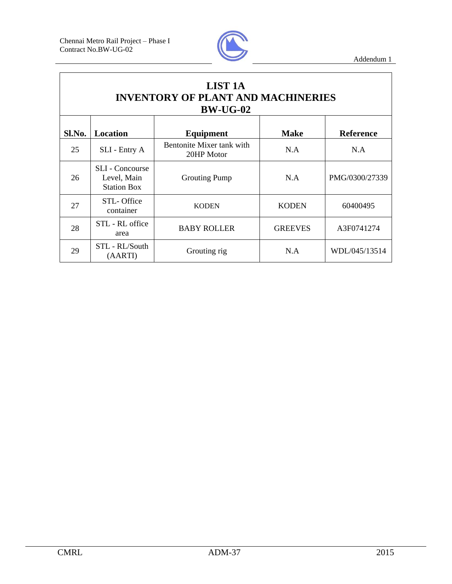

| <b>LIST 1A</b><br><b>INVENTORY OF PLANT AND MACHINERIES</b><br><b>BW-UG-02</b> |                                                             |                                         |                |                  |  |
|--------------------------------------------------------------------------------|-------------------------------------------------------------|-----------------------------------------|----------------|------------------|--|
| Sl.No.                                                                         | <b>Location</b>                                             | Equipment                               | <b>Make</b>    | <b>Reference</b> |  |
| 25                                                                             | SLI - Entry A                                               | Bentonite Mixer tank with<br>20HP Motor | N.A            | N.A              |  |
| 26                                                                             | <b>SLI</b> - Concourse<br>Level, Main<br><b>Station Box</b> | <b>Grouting Pump</b>                    | N.A            | PMG/0300/27339   |  |
| 27                                                                             | STL-Office<br>container                                     | <b>KODEN</b>                            | <b>KODEN</b>   | 60400495         |  |
| 28                                                                             | STL - RL office<br>area                                     | <b>BABY ROLLER</b>                      | <b>GREEVES</b> | A3F0741274       |  |
| 29                                                                             | STL - RL/South<br>(AARTI)                                   | Grouting rig                            | N.A            | WDL/045/13514    |  |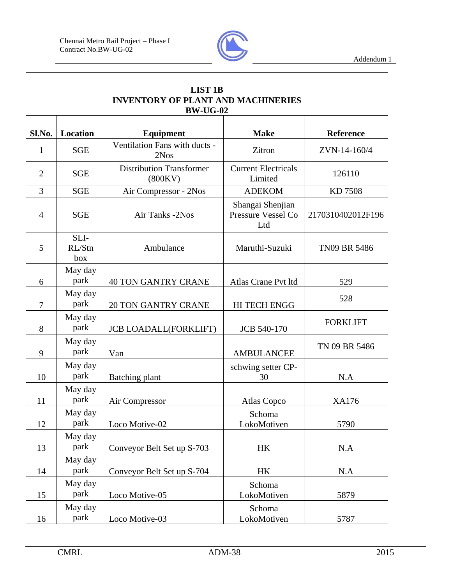

| <b>LIST 1B</b><br><b>INVENTORY OF PLANT AND MACHINERIES</b><br><b>BW-UG-02</b> |                       |                                            |                                               |                   |  |
|--------------------------------------------------------------------------------|-----------------------|--------------------------------------------|-----------------------------------------------|-------------------|--|
| Sl.No.                                                                         | Location              | <b>Equipment</b>                           | <b>Make</b>                                   | Reference         |  |
| 1                                                                              | <b>SGE</b>            | Ventilation Fans with ducts -<br>2Nos      | Zitron                                        | ZVN-14-160/4      |  |
| $\overline{2}$                                                                 | <b>SGE</b>            | <b>Distribution Transformer</b><br>(800KV) | <b>Current Electricals</b><br>Limited         | 126110            |  |
| $\overline{3}$                                                                 | <b>SGE</b>            | Air Compressor - 2Nos                      | <b>ADEKOM</b>                                 | KD 7508           |  |
| $\overline{4}$                                                                 | <b>SGE</b>            | Air Tanks -2Nos                            | Shangai Shenjian<br>Pressure Vessel Co<br>Ltd | 2170310402012F196 |  |
| 5                                                                              | SLI-<br>RL/Stn<br>box | Ambulance                                  | Maruthi-Suzuki                                | TN09 BR 5486      |  |
| 6                                                                              | May day<br>park       | <b>40 TON GANTRY CRANE</b>                 | Atlas Crane Pvt ltd                           | 529               |  |
| $\overline{7}$                                                                 | May day<br>park       | <b>20 TON GANTRY CRANE</b>                 | <b>HI TECH ENGG</b>                           | 528               |  |
| 8                                                                              | May day<br>park       | <b>JCB LOADALL(FORKLIFT)</b>               | <b>JCB 540-170</b>                            | <b>FORKLIFT</b>   |  |
| 9                                                                              | May day<br>park       | Van                                        | <b>AMBULANCEE</b>                             | TN 09 BR 5486     |  |
| 10                                                                             | May day<br>park       | Batching plant                             | schwing setter CP-<br>30                      | N.A               |  |
| 11                                                                             | May day<br>park       | Air Compressor                             | Atlas Copco                                   | <b>XA176</b>      |  |
| 12                                                                             | May day<br>park       | Loco Motive-02                             | Schoma<br>LokoMotiven                         | 5790              |  |
| 13                                                                             | May day<br>park       | Conveyor Belt Set up S-703                 | HK                                            | N.A               |  |
| 14                                                                             | May day<br>park       | Conveyor Belt Set up S-704                 | HK                                            | N.A               |  |
| 15                                                                             | May day<br>park       | Loco Motive-05                             | Schoma<br>LokoMotiven                         | 5879              |  |
| 16                                                                             | May day<br>park       | Loco Motive-03                             | Schoma<br>LokoMotiven                         | 5787              |  |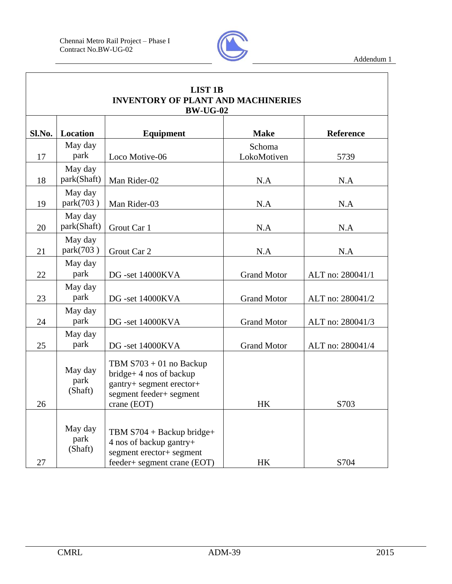

| <b>LIST 1B</b><br><b>INVENTORY OF PLANT AND MACHINERIES</b><br><b>BW-UG-02</b> |                            |                                                                                                                               |                       |                  |  |
|--------------------------------------------------------------------------------|----------------------------|-------------------------------------------------------------------------------------------------------------------------------|-----------------------|------------------|--|
| Sl.No.                                                                         | <b>Location</b>            | <b>Equipment</b>                                                                                                              | <b>Make</b>           | <b>Reference</b> |  |
| 17                                                                             | May day<br>park            | Loco Motive-06                                                                                                                | Schoma<br>LokoMotiven | 5739             |  |
| 18                                                                             | May day<br>park(Shaft)     | Man Rider-02                                                                                                                  | N.A                   | N.A              |  |
| 19                                                                             | May day<br>park(703)       | Man Rider-03                                                                                                                  | N.A                   | N.A              |  |
| 20                                                                             | May day<br>park(Shaft)     | Grout Car 1                                                                                                                   | N.A                   | N.A              |  |
| 21                                                                             | May day<br>park(703)       | Grout Car 2                                                                                                                   | N.A                   | N.A              |  |
| 22                                                                             | May day<br>park            | DG -set 14000KVA                                                                                                              | <b>Grand Motor</b>    | ALT no: 280041/1 |  |
| 23                                                                             | May day<br>park            | DG -set 14000KVA                                                                                                              | <b>Grand Motor</b>    | ALT no: 280041/2 |  |
| 24                                                                             | May day<br>park            | DG -set 14000KVA                                                                                                              | <b>Grand Motor</b>    | ALT no: 280041/3 |  |
| 25                                                                             | May day<br>park            | DG -set 14000KVA                                                                                                              | <b>Grand Motor</b>    | ALT no: 280041/4 |  |
| 26                                                                             | May day<br>park<br>(Shaft) | TBM $S703 + 01$ no Backup<br>$bridge+4$ nos of backup<br>gantry+ segment erector+<br>segment feeder+ segment<br>crane $(EOT)$ | HK                    | S703             |  |
| 27                                                                             | May day<br>park<br>(Shaft) | TBM $S704 + Backup bridge+$<br>4 nos of backup gantry+<br>segment erector+ segment<br>feeder+ segment crane (EOT)             | HK                    | S704             |  |